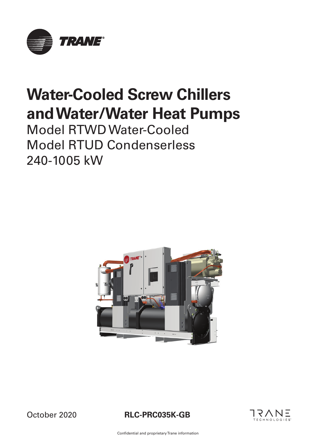

# **Water-Cooled Screw Chillers and Water/Water Heat Pumps**

Model RTWD Water-Cooled Model RTUD Condenserless 240-1005 kW



October 2020





Confidential and proprietary Trane information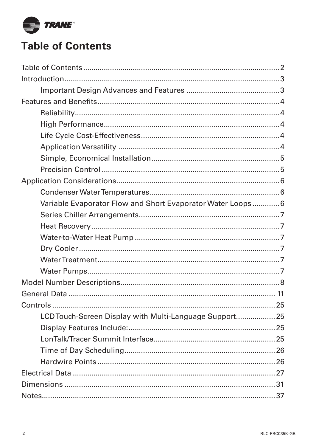

# **Table of Contents**

| Variable Evaporator Flow and Short Evaporator Water Loops 6 |  |
|-------------------------------------------------------------|--|
|                                                             |  |
|                                                             |  |
|                                                             |  |
|                                                             |  |
|                                                             |  |
|                                                             |  |
|                                                             |  |
|                                                             |  |
|                                                             |  |
| LCD Touch-Screen Display with Multi-Language Support 25     |  |
|                                                             |  |
|                                                             |  |
|                                                             |  |
|                                                             |  |
|                                                             |  |
|                                                             |  |
|                                                             |  |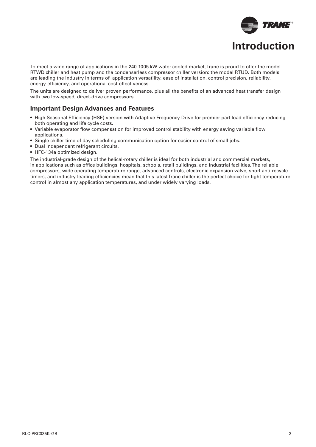

To meet a wide range of applications in the 240-1005 kW water-cooled market, Trane is proud to offer the model RTWD chiller and heat pump and the condenserless compressor chiller version: the model RTUD. Both models are leading the industry in terms of application versatility, ease of installation, control precision, reliability, energy-efficiency, and operational cost-effectiveness.

The units are designed to deliver proven performance, plus all the benefits of an advanced heat transfer design with two low-speed, direct-drive compressors.

### **Important Design Advances and Features**

- High Seasonal Efficiency (HSE) version with Adaptive Frequency Drive for premier part load efficiency reducing both operating and life cycle costs.
- Variable evaporator flow compensation for improved control stability with energy saving variable flow applications.
- Single chiller time of day scheduling communication option for easier control of small jobs.
- Dual independent refrigerant circuits.
- HFC-134a optimized design.

The industrial-grade design of the helical-rotary chiller is ideal for both industrial and commercial markets, in applications such as office buildings, hospitals, schools, retail buildings, and industrial facilities. The reliable compressors, wide operating temperature range, advanced controls, electronic expansion valve, short anti-recycle timers, and industry-leading efficiencies mean that this latest Trane chiller is the perfect choice for tight temperature control in almost any application temperatures, and under widely varying loads.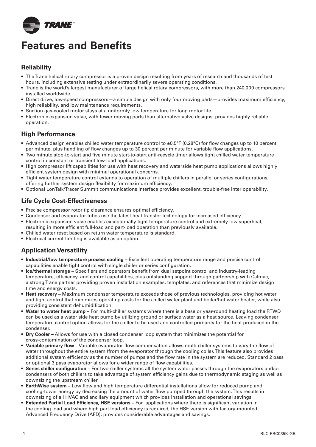

# **Features and Benefits**

### **Reliability**

- The Trane helical rotary compressor is a proven design resulting from years of research and thousands of test hours, including extensive testing under extraordinarily severe operating conditions.
- Trane is the world's largest manufacturer of large helical rotary compressors, with more than 240,000 compressors installed worldwide.
- Direct drive, low-speed compressors—a simple design with only four moving parts—provides maximum efficiency, high reliability, and low maintenance requirements.
- Suction gas-cooled motor stays at a uniformly low temperature for long motor life.
- Electronic expansion valve, with fewer moving parts than alternative valve designs, provides highly reliable operation.

### **High Performance**

- Advanced design enables chilled water temperature control to ±0.5°F (0.28°C) for flow changes up to 10 percent per minute, plus handling of flow changes up to 30 percent per minute for variable flow applications.
- Two minute stop-to-start and five minute start-to-start anti-recycle timer allows tight chilled water temperature control in constant or transient low-load applications.
- High compressor lift capabilities for use with heat recovery and waterside heat pump applications allows highly efficient system design with minimal operational concerns.
- Tight water temperature control extends to operation of multiple chillers in parallel or series configurations, offering further system design flexibility for maximum efficiency.
- Optional LonTalk/Tracer Summit communications interface provides excellent, trouble-free inter operability.

### **Life Cycle Cost-Effectiveness**

- Precise compressor rotor tip clearance ensures optimal efficiency.
- Condenser and evaporator tubes use the latest heat transfer technology for increased efficiency.
- Electronic expansion valve enables exceptionally tight temperature control and extremely low superheat, resulting in more efficient full-load and part-load operation than previously available.
- Chilled water reset based on return water temperature is standard.
- Electrical current-limiting is available as an option.

### **Application Versatility**

- **Industrial/low temperature process cooling –** Excellent operating temperature range and precise control capabilities enable tight control with single chiller or series configuration.
- Ice/thermal storage Specifiers and operators benefit from dual setpoint control and industry-leading temperature, efficiency, and control capabilities, plus outstanding support through partnership with Calmac, a strong Trane partner providing proven installation examples, templates, and references that minimize design time and energy costs.
- **Heat recovery –** Maximum condenser temperature exceeds those of previous technologies, providing hot water and tight control that minimizes operating costs for the chilled water plant and boiler/hot water heater, while also providing consistent dehumidification.
- **Water to water heat pump –** For multi-chiller systems where there is a base or year-round heating load the RTWD can be used as a water side heat pump by utilizing ground or surface water as a heat source. Leaving condenser temperature control option allows for the chiller to be used and controlled primarily for the heat produced in the condenser.
- **Dry Cooler –** Allows for use with a closed condenser loop system that minimizes the potential for cross-contamination of the condenser loop.
- Variable primary flow Variable evaporator flow compensation allows multi-chiller systems to vary the flow of water throughout the entire system (from the evaporator through the cooling coils). This feature also provides additional system efficiency as the number of pumps and the flow rate in the system are reduced. Standard 2 pass or optional 3 pass evaporator allows for a wider range of flow capabilities.
- Series chiller configuration For two-chiller systems all the system water passes through the evaporators and/or condensers of both chillers to take advantage of system efficiency gains due to thermodynamic staging as well as downsizing the upstream chiller.
- **EarthWise system** Low flow and high temperature differential installations allow for reduced pump and cooling-tower energy by decreasing the amount of water flow pumped through the system. This results in downsizing of all HVAC and ancillary equipment which provides installation and operational savings.
- **Extended Partial Load Efficiency, HSE versions** For applications where there is significant variation in the cooling load and where high part load efficiency is required, the HSE version with factory-mounted Advanced Frequency Drive (AFD), provides considerable advantages and savings.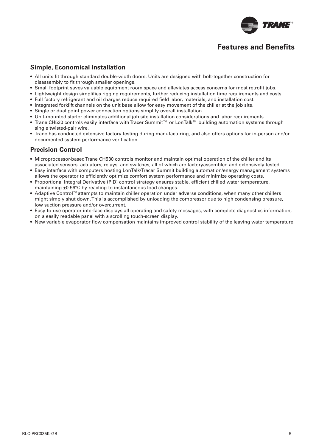

## **Features and Benefits**

### **Simple, Economical Installation**

- All units fit through standard double-width doors. Units are designed with bolt-together construction for disassembly to fit through smaller openings.
- Small footprint saves valuable equipment room space and alleviates access concerns for most retrofit iobs.
- Lightweight design simplifies rigging requirements, further reducing installation time requirements and costs.
- Full factory refrigerant and oil charges reduce required field labor, materials, and installation cost.
- Integrated forklift channels on the unit base allow for easy movement of the chiller at the job site.
- Single or dual point power connection options simplify overall installation.
- Unit-mounted starter eliminates additional job site installation considerations and labor requirements.
- Trane CH530 controls easily interface with Tracer Summit™ or LonTalk™ building automation systems through single twisted-pair wire.
- Trane has conducted extensive factory testing during manufacturing, and also offers options for in-person and/or documented system performance verification.

### **Precision Control**

- Microprocessor-based Trane CH530 controls monitor and maintain optimal operation of the chiller and its associated sensors, actuators, relays, and switches, all of which are factoryassembled and extensively tested.
- Easy interface with computers hosting LonTalk/Tracer Summit building automation/energy management systems allows the operator to efficiently optimize comfort system performance and minimize operating costs.
- Proportional Integral Derivative (PID) control strategy ensures stable, efficient chilled water temperature, maintaining ±0.56°C by reacting to instantaneous load changes.
- Adaptive Control™attempts to maintain chiller operation under adverse conditions, when many other chillers might simply shut down. This is accomplished by unloading the compressor due to high condensing pressure, low suction pressure and/or overcurrent.
- Easy-to-use operator interface displays all operating and safety messages, with complete diagnostics information, on a easily readable panel with a scrolling touch-screen display.
- New variable evaporator flow compensation maintains improved control stability of the leaving water temperature.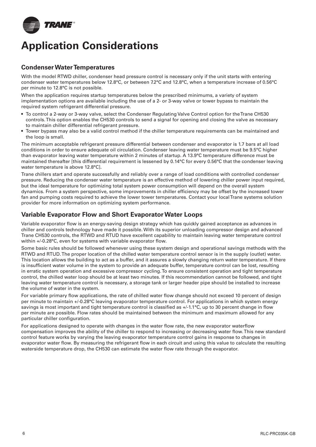

# **Application Considerations**

### **Condenser Water Temperatures**

With the model RTWD chiller, condenser head pressure control is necessary only if the unit starts with entering condenser water temperatures below 12.8°C, or between 7.2°C and 12.8°C, when a temperature increase of 0.56°C per minute to 12.8°C is not possible.

When the application requires startup temperatures below the prescribed minimums, a variety of system implementation options are available including the use of a 2- or 3-way valve or tower bypass to maintain the required system refrigerant differential pressure.

- To control a 2-way or 3-way valve, select the Condenser Regulating Valve Control option for the Trane CH530 controls. This option enables the CH530 controls to send a signal for opening and closing the valve as necessary to maintain chiller differential refrigerant pressure.
- Tower bypass may also be a valid control method if the chiller temperature requirements can be maintained and the loop is small.

The minimum acceptable refrigerant pressure differential between condenser and evaporator is 1.7 bars at all load conditions in order to ensure adequate oil circulation. Condenser leaving water temperature must be 9.5°C higher than evaporator leaving water temperature within 2 minutes of startup. A 13.9°C temperature difference must be maintained thereafter [this differential requirement is lessened by 0.14°C for every 0.56°C that the condenser leaving water temperature is above 12.8°C].

Trane chillers start and operate successfully and reliably over a range of load conditions with controlled condenser pressure. Reducing the condenser water temperature is an effective method of lowering chiller power input required, but the ideal temperature for optimizing total system power consumption will depend on the overall system dynamics. From a system perspective, some improvements in chiller efficiency may be offset by the increased tower fan and pumping costs required to achieve the lower tower temperatures. Contact your local Trane systems solution provider for more information on optimizing system performance.

### **Variable Evaporator Flow and Short Evaporator Water Loops**

Variable evaporator flow is an energy-saving design strategy which has quickly gained acceptance as advances in chiller and controls technology have made it possible. With its superior unloading compressor design and advanced Trane CH530 controls, the RTWD and RTUD have excellent capability to maintain leaving water temperature control within  $+/-0.28$ °C, even for systems with variable evaporator flow.

Some basic rules should be followed whenever using these system design and operational savings methods with the RTWD and RTUD. The proper location of the chilled water temperature control sensor is in the supply (outlet) water. This location allows the building to act as a buffer, and it assures a slowly changing return water temperature. If there is insufficient water volume in the system to provide an adequate buffer, temperature control can be lost, resulting in erratic system operation and excessive compressor cycling. To ensure consistent operation and tight temperature control, the chilled water loop should be at least two minutes. If this recommendation cannot be followed, and tight leaving water temperature control is necessary, a storage tank or larger header pipe should be installed to increase the volume of water in the system.

For variable primary flow applications, the rate of chilled water flow change should not exceed 10 percent of design per minute to maintain +/-0.28°C leaving evaporator temperature control. For applications in which system energy savings is most important and tight temperature control is classified as +/-1.1°C, up to 30 percent change in flow per minute are possible. Flow rates should be maintained between the minimum and maximum allowed for any particular chiller configuration.

For applications designed to operate with changes in the water flow rate, the new evaporator waterflow compensation improves the ability of the chiller to respond to increasing or decreasing water flow. This new standard control feature works by varying the leaving evaporator temperature control gains in response to changes in evaporator water flow. By measuring the refrigerant flow in each circuit and using this value to calculate the resulting waterside temperature drop, the CH530 can estimate the water flow rate through the evaporator.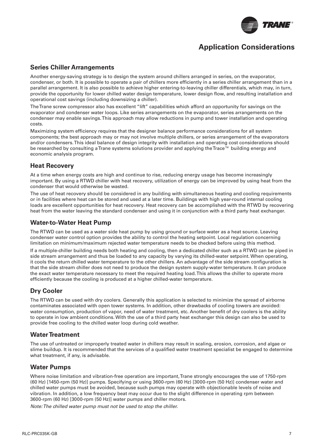

## **Application Considerations**

### **Series Chiller Arrangements**

Another energy-saving strategy is to design the system around chillers arranged in series, on the evaporator, condenser, or both. It is possible to operate a pair of chillers more efficiently in a series chiller arrangement than in a parallel arrangement. It is also possible to achieve higher entering-to-leaving chiller differentials, which may, in turn, provide the opportunity for lower chilled water design temperature, lower design flow, and resulting installation and operational cost savings (including downsizing a chiller).

The Trane screw compressor also has excellent "lift" capabilities which afford an opportunity for savings on the evaporator and condenser water loops. Like series arrangements on the evaporator, series arrangements on the condenser may enable savings. This approach may allow reductions in pump and tower installation and operating costs.

Maximizing system efficiency requires that the designer balance performance considerations for all system components; the best approach may or may not involve multiple chillers, or series arrangement of the evaporators and/or condensers. This ideal balance of design integrity with installation and operating cost considerations should be researched by consulting a Trane systems solutions provider and applying the Trace™ building energy and economic analysis program.

#### **Heat Recovery**

At a time when energy costs are high and continue to rise, reducing energy usage has become increasingly important. By using a RTWD chiller with heat recovery, utilization of energy can be improved by using heat from the condenser that would otherwise be wasted.

The use of heat recovery should be considered in any building with simultaneous heating and cooling requirements or in facilities where heat can be stored and used at a later time. Buildings with high year-round internal cooling loads are excellent opportunities for heat recovery. Heat recovery can be accomplished with the RTWD by recovering heat from the water leaving the standard condenser and using it in conjunction with a third party heat exchanger.

#### **Water-to-Water Heat Pump**

The RTWD can be used as a water side heat pump by using ground or surface water as a heat source. Leaving condenser water control option provides the ability to control the heating setpoint. Local regulation concerning limitation on minimum/maximum rejected water temperature needs to be checked before using this method.

If a multiple-chiller building needs both heating and cooling, then a dedicated chiller such as a RTWD can be piped in side stream arrangement and thus be loaded to any capacity by varying its chilled-water setpoint. When operating, it cools the return chilled water temperature to the other chillers. An advantage of the side stream configuration is that the side stream chiller does not need to produce the design system supply-water temperature. It can produce the exact water temperature necessary to meet the required heating load. This allows the chiller to operate more efficiently because the cooling is produced at a higher chilled-water temperature.

### **Dry Cooler**

The RTWD can be used with dry coolers. Generally this application is selected to minimize the spread of airborne contaminates associated with open tower systems. In addition, other drawbacks of cooling towers are avoided: water consumption, production of vapor, need of water treatment, etc. Another benefit of dry coolers is the ability to operate in low ambient conditions. With the use of a third party heat exchanger this design can also be used to provide free cooling to the chilled water loop during cold weather.

#### **Water Treatment**

The use of untreated or improperly treated water in chillers may result in scaling, erosion, corrosion, and algae or slime buildup. It is recommended that the services of a qualified water treatment specialist be engaged to determine what treatment, if any, is advisable.

#### **Water Pumps**

Where noise limitation and vibration-free operation are important, Trane strongly encourages the use of 1750-rpm (60 Hz) [1450-rpm (50 Hz)] pumps. Specifying or using 3600-rpm (60 Hz) [3000-rpm (50 Hz)] condenser water and chilled water pumps must be avoided, because such pumps may operate with objectionable levels of noise and vibration. In addition, a low frequency beat may occur due to the slight difference in operating rpm between 3600-rpm (60 Hz) [3000-rpm (50 Hz)] water pumps and chiller motors.

*Note: The chilled water pump must not be used to stop the chiller.*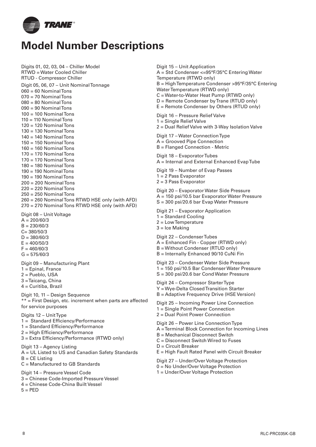

# **Model Number Descriptions**

Digits 01, 02, 03, 04 – Chiller Model RTWD = Water Cooled Chiller RTUD - Compressor Chiller Digit 05, 06, 07 – Unit Nominal Tonnage  $060 = 60$  Nominal Tons  $070 = 70$  Nominal Tons 080 = 80 Nominal Tons 090 = 90 Nominal Tons  $100 = 100$  Nominal Tons  $110 = 110$  Nominal Tons 120 = 120 Nominal Tons  $130 = 130$  Nominal Tons  $140 = 140$  Nominal Tons 150 = 150 Nominal Tons  $160 = 160$  Nominal Tons  $170 = 170$  Nominal Tons  $170 = 170$  Nominal Tons 180 = 180 Nominal Tons  $190 = 190$  Nominal Tons  $190 = 190$  Nominal Tons 200 = 200 Nominal Tons  $220 = 220$  Nominal Tons 250 = 250 Nominal Tons 260 = 260 Nominal Tons RTWD HSE only (with AFD) 270 = 270 Nominal Tons RTWD HSE only (with AFD) Digit 08 – Unit Voltage  $A = 200/60/3$  $B = 230/60/3$  $C = 380/50/3$  $D = 380/60/3$  $E = 400/50/3$  $F = 460/60/3$  $G = 575/60/3$ Digit 09 – Manufacturing Plant 1 = Epinal, France 2 = Pueblo, USA 3 = Taicang, China 4 = Curitiba, Brazil Digit 10, 11 – Design Sequence \*\* = First Design, etc. increment when parts are affected for service purposes Digits 12 – Unit Type 1 = Standard Efficiency/Performance 1 = Standard Efficiency/Performance  $2 =$  High Efficiency/Performance 3 = Extra Efficiency/Performance (RTWD only) Digit 13 – Agency Listing A = UL Listed to US and Canadian Safety Standards  $B = CE$  Listing C = Manufactured to GB Standards Digit 14 – Pressure Vessel Code 3 = Chinese Code-Imported Pressure Vessel 4 = Chinese Code-China Built Vessel  $5 = PED$ 

Digit 15 – Unit Application A = Std Condenser <=95°F/35°C Entering Water Temperature (RTWD only) B = High Temperature Condenser >95°F/35°C Entering Water Temperature (RTWD only) C = Water-to-Water Heat Pump (RTWD only) D = Remote Condenser by Trane (RTUD only) E = Remote Condenser by Others (RTUD only) Digit 16 – Pressure Relief Valve 1 = Single Relief Valve 2 = Dual Relief Valve with 3-Way Isolation Valve Digit 17 – Water Connection Type A = Grooved Pipe Connection B = Flanged Connection - Metric Digit 18 – Evaporator Tubes A = Internal and External Enhanced Evap Tube Digit 19 – Number of Evap Passes 1 = 2 Pass Evaporator 2 = 3 Pass Evaporator Digit 20 – Evaporator Water Side Pressure A = 150 psi/10.5 bar Evaporator Water Pressure S = 300 psi/20.6 bar Evap Water Pressure Digit 21 – Evaporator Application 1 = Standard Cooling 2 = Low Temperature 3 = Ice Making Digit 22 – Condenser Tubes A = Enhanced Fin - Copper (RTWD only) B = Without Condenser (RTUD only) B = Internally Enhanced 90/10 CuNi Fin Digit 23 – Condenser Water Side Pressure 1 = 150 psi/10.5 Bar Condenser Water Pressure S = 300 psi/20.6 bar Cond Water Pressure Digit 24 – Compressor Starter Type Y = Wye-Delta Closed Transition Starter B = Adaptive Frequency Drive (HSE Version) Digit 25 – Incoming Power Line Connection 1 = Single Point Power Connection 2 = Dual Point Power Connection Digit 26 – Power Line Connection Type A = Terminal Block Connection for Incoming Lines B = Mechanical Disconnect Switch C = Disconnect Switch Wired to Fuses D = Circuit Breaker E = High Fault Rated Panel with Circuit Breaker Digit 27 – Under/Over Voltage Protection 0 = No Under/Over Voltage Protection 1 = Under/Over Voltage Protection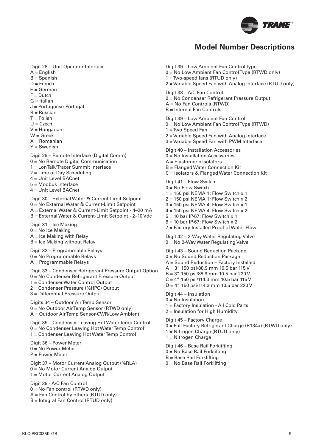

## **Model Number Descriptions**

Digit 28 – Unit Operator Interface

- $A =$  English
- $B =$ Spanish
- $D =$ French
- $E =$ German
- $F = D$ utch
- $G = Italian$
- J = Portuguese-Portugal
- $R =$ Russian
- $T =$  Polish
- $U = C$ zech
- $V =$ Hungarian
- $W =$  Greek
- $X = R$ omanian
- $Y =$ Swedish

Digit 29 – Remote Interface (Digital Comm) 0 = No Remote Digital Communication 1 = LonTalk/Tracer Summit Interface 2 = Time of Day Scheduling 4 = Unit Level BACnet 5 = Modbus interface 4 = Unit Level BACnet

Digit 30 – External Water & Current-Limit Setpoint 0 = No External Water & Current-Limit Setpoint A = External Water & Current-Limit Setpoint - 4–20 mA B = External Water & Current-Limit Setpoint - 2–10 Vdc

Digit 31 – Ice Making  $0 = No$  Ice Making A = Ice Making with Relay  $B =$  Ice Making without Relay

Digit 32 – Programmable Relays 0 = No Programmable Relays A = Programmable Relays

Digit 33 – Condenser Refrigerant Pressure Output Option 0 = No Condenser Refrigerant Pressure Output

- 1 = Condenser Water Control Output
- 2 = Condenser Pressure (%HPC) Output

3 = Differential Pressure Output

Digits 34 – Outdoor Air Temp Sensor 0 = No Outdoor Air Temp Sensor (RTWD only) A = Outdoor Air Temp Sensor-CWR/Low Ambient

Digit 35 – Condenser Leaving Hot Water Temp Control 0 = No Condenser Leaving Hot Water Temp Control 1 = Condenser Leaving Hot Water Temp Control

Digit 36 – Power Meter 0 = No Power Meter P = Power Meter

Digit 37 – Motor Current Analog Output (%RLA) 0 = No Motor Current Analog Output 1 = Motor Current Analog Output

Digit 38 - A/C Fan Control 0 = No Fan control (RTWD only) A = Fan Control by others (RTUD only)

B = Integral Fan Control (RTUD only)

Digit 39 – Low Ambient Fan Control Type 0 = No Low Ambient Fan Control Type (RTWD only) 1 = Two-speed fans (RTUD only) 2 = Variable Speed Fan with Analog Interface (RTUD only) Digit 38 – A/C Fan Control 0 = No Condenser Refrigerant Pressure Output A = No Fan Controls (RTWD) B = Internal Fan Controls Digit 39 – Low Ambient Fan Control 0 = No Low Ambient Fan Control Type (RTWD) 1 = Two Speed Fan 2 = Variable Speed Fan with Analog Interface 3 = Variable Speed Fan with PWM Interface Digit 40 – Installation Accessories 0 = No Installation Accessories A = Elastomeric Isolators B = Flanged Water Connection Kit C = Isolators & Flanged Water Connection Kit Digit 41 – Flow Switch  $0 = No$  Flow Switch  $1 = 150$  psi NEMA 1; Flow Switch x 1  $2 = 150$  psi NEMA 1; Flow Switch x 2  $3 = 150$  psi NEMA 4; Flow Switch x 1  $4 = 150$  psi NEMA 4; Flow Switch x 2  $5 = 10$  bar IP-67; Flow Switch x 1  $6 = 10$  bar IP-67; Flow Switch x 2 7 = Factory Installed Proof of Water Flow Digit 42 – 2-Way Water Regulating Valve 0 = No 2-Way Water Regulating Valve Digit 43 – Sound Reduction Package 0 = No Sound Reduction Package A = Sound Reduction – Factory Installed A = 3" 150 psi/88.9 mm 10.5 bar 115 V B = 3" 150 psi/88.9 mm 10.5 bar 220 V  $C = 4''$  150 psi/114.3 mm 10.5 bar 115 V D = 4" 150 psi/114.3 mm 10.5 bar 220 V Digit 44 – Insulation  $0 = No$  Insulation 1 = Factory Insulation - All Cold Parts 2 = Insulation for High Humidity Digit 45 – Factory Charge 0 = Full Factory Refrigerant Charge (R134a) (RTWD only) 1 = Nitrogen Charge (RTUD only) 1 = Nitrogen Charge Digit 46 – Base Rail Forklifting

- 0 = No Base Rail Forklifting
- B = Base Rail Forklifting
- 0 = No Base Rail Forklifting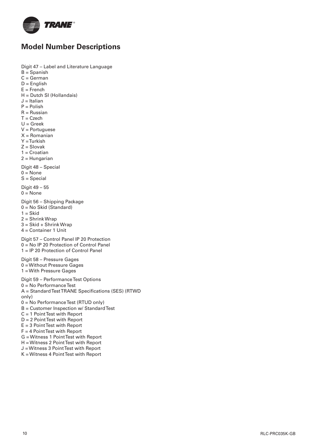

# **Model Number Descriptions**

Digit 47 – Label and Literature Language B = Spanish

- $C = German$
- D = English
- $E =$ French
- H = Dutch SI (Hollandais)
- $J = Italian$
- $P =$  Polish
- $R =$ Russian
- $T = C$ zech
- $U =$  Greek
- V = Portuguese
- $X =$  Romanian
- Y = Turkish  $Z =$ Slovak
- 1 = Croatian
- 2 = Hungarian

Digit 48 – Special

- $0 = \text{None}$
- S = Special

Digit 49 – 55  $0 = \text{None}$ 

Digit 56 – Shipping Package

- 0 = No Skid (Standard)
- $1 = Skid$
- 2 = Shrink Wrap
- 3 = Skid + Shrink Wrap
- 4 = Container 1 Unit

Digit 57 – Control Panel IP 20 Protection 0 = No IP 20 Protection of Control Panel 1 = IP 20 Protection of Control Panel

Digit 58 – Pressure Gages 0 = Without Pressure Gages 1 = With Pressure Gages

Digit 59 – Performance Test Options 0 = No Performance Test A = Standard Test TRANE Specifications (SES) (RTWD only) 0 = No Performance Test (RTUD only) B = Customer Inspection w/ Standard Test C = 1 Point Test with Report D = 2 Point Test with Report  $E = 3$  Point Test with Report  $F = 4$  Point Test with Report

- G = Witness 1 Point Test with Report
- H = Witness 2 Point Test with Report
- J = Witness 3 Point Test with Report
- K = Witness 4 Point Test with Report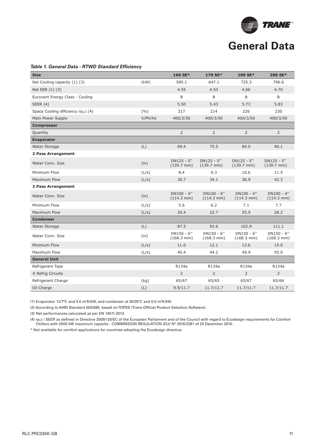

#### **Table 1. General Data - RTWD Standard Efficiency**

| <b>Size</b>                       |         | 160 SE*                                | 170 SE*                                | 190 SE*                               | 200 SE*                                |
|-----------------------------------|---------|----------------------------------------|----------------------------------------|---------------------------------------|----------------------------------------|
| Net Cooling capacity (1) (3)      | (kW)    | 585.1                                  | 647.1                                  | 725.3                                 | 796.6                                  |
| Net EER (1) (3)                   |         | 4.55                                   | 4.53                                   | 4.66                                  | 4.70                                   |
| Eurovent Energy Class - Cooling   |         | B                                      | B                                      | B                                     | B                                      |
| <b>SEER (4)</b>                   |         | 5.50                                   | 5.43                                   | 5.73                                  | 5.83                                   |
| Space Cooling efficiency ns,c (4) | (9/0)   | 217                                    | 214                                    | 226                                   | 230                                    |
| Main Power Supply                 | V/Ph/Hz | 400/3/50                               | 400/3/50                               | 400/3/50                              | 400/3/50                               |
| <b>Compressor</b>                 |         |                                        |                                        |                                       |                                        |
| Quantity                          |         | $\overline{2}$                         | $\overline{2}$                         | $\overline{2}$                        | $\overline{2}$                         |
| <b>Evaporator</b>                 |         |                                        |                                        |                                       |                                        |
| Water Storage                     | (L)     | 69.4                                   | 75.5                                   | 84.0                                  | 90.1                                   |
| 2 Pass Arrangement                |         |                                        |                                        |                                       |                                        |
| Water Conn, Size                  | (in)    | $DN125 - 5''$<br>$(139.7 \text{ mm})$  | $DN125 - 5''$<br>$(139.7 \text{ mm})$  | $DN125 - 5''$<br>$(139.7 \text{ mm})$ | $DN125 - 5''$<br>$(139.7 \text{ mm})$  |
| Minimum Flow                      | (L/s)   | 8.4                                    | 9.3                                    | 10.6                                  | 11.5                                   |
| Maximum Flow                      | (L/s)   | 30.7                                   | 34.1                                   | 38.9                                  | 42.3                                   |
| <b>3 Pass Arrangement</b>         |         |                                        |                                        |                                       |                                        |
| Water Conn, Size                  | (in)    | $DN100 - 4"$<br>$(114.3 \, \text{mm})$ | $DN100 - 4"$<br>$(114.3 \, \text{mm})$ | $DN100 - 4"$<br>$(114.3 \text{ mm})$  | $DN100 - 4"$<br>$(114.3 \, \text{mm})$ |
| Minimum Flow                      | (L/s)   | 5.6                                    | 6.2                                    | 7.1                                   | 7.7                                    |
| <b>Maximum Flow</b>               | (L/s)   | 20.4                                   | 22.7                                   | 25.9                                  | 28.2                                   |
| <b>Condenser</b>                  |         |                                        |                                        |                                       |                                        |
| Water Storage                     | (L)     | 87.5                                   | 93.6                                   | 102.9                                 | 111.1                                  |
| Water Conn, Size                  | (in)    | $DN150 - 6"$<br>$(168.3 \text{ mm})$   | $DN150 - 6"$<br>$(168.3 \text{ mm})$   | $DN150 - 6"$<br>$(168.3 \text{ mm})$  | DN150 - 6"<br>$(168.3 \text{ mm})$     |
| Minimum Flow                      | (L/s)   | 11.0                                   | 12.1                                   | 13.6                                  | 15.0                                   |
| Maximum Flow                      | (L/s)   | 40.4                                   | 44.2                                   | 49.9                                  | 55.0                                   |
| <b>General Unit</b>               |         |                                        |                                        |                                       |                                        |
| Refrigerant Type                  |         | R134a                                  | R134a                                  | R134a                                 | R134a                                  |
| # Refrig Circuits                 |         | $\overline{2}$                         | $\overline{2}$                         | $\overline{2}$                        | $\overline{2}$                         |
| Refrigerant Charge                | (kg)    | 65/67                                  | 65/65                                  | 65/67                                 | 65/66                                  |
| Oil Charge                        | (L)     | 9.9/11.7                               | 11.7/11.7                              | 11.7/11.7                             | 11.7/11.7                              |

(1) Evaporator 12/7°C and 0.0 m²K/kW, and condenser at 30/35°C and 0.0 m²K/kW.

(2) According to AHRI Standard 550/590, based on TOPSS (Trane Official Product Selection Software).

(3) Net performances calculated as per EN 14511-2013.

(4) ηs,c / SEER as defined in Directive 2009/125/EC of the European Parliament and of the Council with regard to Ecodesign requirements for Comfort Chillers with 2000 kW maximum capacity - COMMISSION REGULATION (EU) N° 2016/2281 of 20 December 2016.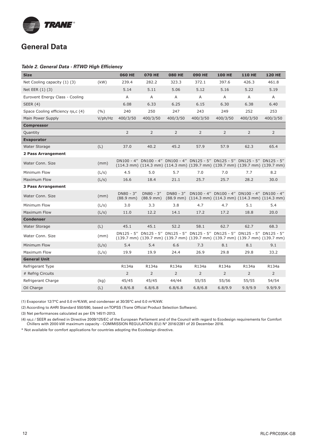

#### **Table 2. General Data - RTWD High Efficiency**

| <b>Size</b>                       |            | <b>060 HE</b>                        | <b>070 HE</b>                      | <b>080 HE</b>  | <b>090 HE</b>  | <b>100 HE</b>                                                                                                                                                                                                                      | <b>110 HE</b>  | <b>120 HE</b>                                                                |
|-----------------------------------|------------|--------------------------------------|------------------------------------|----------------|----------------|------------------------------------------------------------------------------------------------------------------------------------------------------------------------------------------------------------------------------------|----------------|------------------------------------------------------------------------------|
| Net Cooling capacity (1) (3)      | (kW)       | 239.4                                | 282.2                              | 323.3          | 372.1          | 397.6                                                                                                                                                                                                                              | 426.3          | 461.8                                                                        |
| Net EER (1) (3)                   |            | 5.14                                 | 5.11                               | 5.06           | 5.12           | 5.16                                                                                                                                                                                                                               | 5.22           | 5.19                                                                         |
| Eurovent Energy Class - Cooling   |            | $\overline{A}$                       | $\mathsf{A}$                       | $\overline{A}$ | $\overline{A}$ | A                                                                                                                                                                                                                                  | $\mathsf{A}$   | $\mathsf{A}$                                                                 |
| <b>SEER (4)</b>                   |            | 6.08                                 | 6.33                               | 6.25           | 6.15           | 6.30                                                                                                                                                                                                                               | 6.38           | 6.40                                                                         |
| Space Cooling efficiency ns,c (4) | (9/6)      | 240                                  | 250                                | 247            | 243            | 249                                                                                                                                                                                                                                | 252            | 253                                                                          |
| Main Power Supply                 | $V$ /ph/Hz | 400/3/50                             | 400/3/50                           | 400/3/50       | 400/3/50       | 400/3/50                                                                                                                                                                                                                           | 400/3/50       | 400/3/50                                                                     |
| <b>Compressor</b>                 |            |                                      |                                    |                |                |                                                                                                                                                                                                                                    |                |                                                                              |
| Quantity                          |            | $\overline{2}$                       | 2                                  | 2              | $\overline{2}$ | $\overline{2}$                                                                                                                                                                                                                     | 2              | $\overline{2}$                                                               |
| <b>Evaporator</b>                 |            |                                      |                                    |                |                |                                                                                                                                                                                                                                    |                |                                                                              |
| Water Storage                     | (L)        | 37.0                                 | 40.2                               | 45.2           | 57.9           | 57.9                                                                                                                                                                                                                               | 62.3           | 65.4                                                                         |
| 2 Pass Arrangement                |            |                                      |                                    |                |                |                                                                                                                                                                                                                                    |                |                                                                              |
| Water Conn. Size                  | (mm)       |                                      |                                    |                |                | DN100 - 4" DN100 - 4" DN100 - 4" DN125 - 5" DN125 - 5" DN125 - 5" DN125 - 5"<br>$(114.3 \text{ mm})$ $(114.3 \text{ mm})$ $(114.3 \text{ mm})$ $(139.7 \text{ mm})$ $(139.7 \text{ mm})$ $(139.7 \text{ mm})$ $(139.7 \text{ mm})$ |                |                                                                              |
| Minimum Flow                      | (L/s)      | 4.5                                  | 5.0                                | 5.7            | 7.0            | 7.0                                                                                                                                                                                                                                | 7.7            | 8.2                                                                          |
| <b>Maximum Flow</b>               | (L/s)      | 16.6                                 | 18.4                               | 21.1           | 25.7           | 25.7                                                                                                                                                                                                                               | 28.2           | 30.0                                                                         |
| <b>3 Pass Arrangement</b>         |            |                                      |                                    |                |                |                                                                                                                                                                                                                                    |                |                                                                              |
| Water Conn, Size                  | (mm)       | $DN80 - 3"$<br>$(88.9 \, \text{mm})$ | $DN80 - 3"$<br>$(88.9 \text{ mm})$ | $DN80 - 3"$    |                | DN100 - 4" DN100 - 4" DN100 - 4" DN100 - 4"<br>$(88.9 \text{ mm})$ $(114.3 \text{ mm})$ $(114.3 \text{ mm})$ $(114.3 \text{ mm})$ $(114.3 \text{ mm})$                                                                             |                |                                                                              |
| Minimum Flow                      | (L/s)      | 3.0                                  | 3.3                                | 3.8            | 4.7            | 4.7                                                                                                                                                                                                                                | 5.1            | 5.4                                                                          |
| Maximum Flow                      | (L/s)      | 11.0                                 | 12.2                               | 14.1           | 17.2           | 17.2                                                                                                                                                                                                                               | 18.8           | 20.0                                                                         |
| <b>Condenser</b>                  |            |                                      |                                    |                |                |                                                                                                                                                                                                                                    |                |                                                                              |
| Water Storage                     | (L)        | 45.1                                 | 45.1                               | 52.2           | 58.1           | 62.7                                                                                                                                                                                                                               | 62.7           | 68.3                                                                         |
| Water Conn. Size                  | (mm)       |                                      |                                    |                |                | DN125 - 5" DN125 - 5" DN125 - 5" DN125 - 5" DN125 - 5" DN125 - 5" DN125 - 5"                                                                                                                                                       |                | (139.7 mm) (139.7 mm) (139.7 mm) (139.7 mm) (139.7 mm) (139.7 mm) (139.7 mm) |
| Minimum Flow                      | (L/s)      | 5.4                                  | 5.4                                | 6.6            | 7.3            | 8.1                                                                                                                                                                                                                                | 8.1            | 9.1                                                                          |
| Maximum Flow                      | (L/s)      | 19.9                                 | 19.9                               | 24.4           | 26.9           | 29.8                                                                                                                                                                                                                               | 29.8           | 33.2                                                                         |
| <b>General Unit</b>               |            |                                      |                                    |                |                |                                                                                                                                                                                                                                    |                |                                                                              |
| Refrigerant Type                  |            | R134a                                | R134a                              | R134a          | R134a          | R134a                                                                                                                                                                                                                              | R134a          | R134a                                                                        |
| # Refrig Circuits                 |            | $\overline{2}$                       | $\overline{2}$                     | $\overline{2}$ | $\overline{2}$ | $\overline{2}$                                                                                                                                                                                                                     | $\overline{2}$ | $\overline{2}$                                                               |
| Refrigerant Charge                | (kq)       | 45/45                                | 45/45                              | 44/44          | 55/55          | 55/56                                                                                                                                                                                                                              | 55/55          | 54/54                                                                        |
| Oil Charge                        | (L)        | 6.8/6.8                              | 6.8/6.8                            | 6.8/6.8        | 6.8/6.8        | 6.8/9.9                                                                                                                                                                                                                            | 9.9/9.9        | 9.9/9.9                                                                      |

(1) Evaporator 12/7°C and 0.0 m²K/kW, and condenser at 30/35°C and 0.0 m²K/kW.

(2) According to AHRI Standard 550/590, based on TOPSS (Trane Official Product Selection Software).

(3) Net performances calculated as per EN 14511-2013.

(4) ηs,c / SEER as defined in Directive 2009/125/EC of the European Parliament and of the Council with regard to Ecodesign requirements for Comfort Chillers with 2000 kW maximum capacity - COMMISSION REGULATION (EU) N° 2016/2281 of 20 December 2016.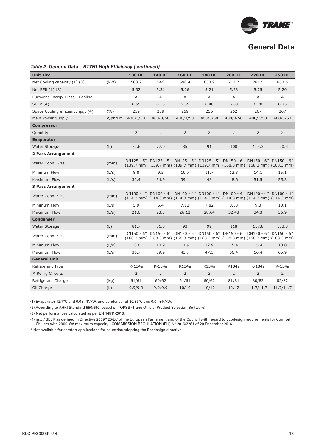

#### Table 2. General Data - RTWD High Efficiency (continued)

| <b>Unit size</b>                  |         | <b>130 HE</b>  | <b>140 HE</b>                                                                                                                                                                                                                      | <b>160 HE</b>  | <b>180 HE</b>  | <b>200 HE</b>  | <b>220 HE</b>  | <b>250 HE</b>  |
|-----------------------------------|---------|----------------|------------------------------------------------------------------------------------------------------------------------------------------------------------------------------------------------------------------------------------|----------------|----------------|----------------|----------------|----------------|
| Net Cooling capacity (1) (3)      | (kW)    | 503.2          | 546                                                                                                                                                                                                                                | 590.4          | 650.9          | 713.7          | 781.5          | 853.5          |
| Net EER (1) (3)                   |         | 5.32           | 5.31                                                                                                                                                                                                                               | 5.26           | 5.21           | 5.23           | 5.25           | 5.20           |
| Eurovent Energy Class - Cooling   |         | A              | A                                                                                                                                                                                                                                  | A              | A              | $\overline{A}$ | A              | $\mathsf{A}$   |
| SEER $(4)$                        |         | 6.55           | 6.55                                                                                                                                                                                                                               | 6.55           | 6.48           | 6.63           | 6.70           | 6.75           |
| Space Cooling efficiency ns,c (4) | (9/6)   | 259            | 259                                                                                                                                                                                                                                | 259            | 256            | 262            | 267            | 267            |
| Main Power Supply                 | V/ph/Hz | 400/3/50       | 400/3/50                                                                                                                                                                                                                           | 400/3/50       | 400/3/50       | 400/3/50       | 400/3/50       | 400/3/50       |
| <b>Compressor</b>                 |         |                |                                                                                                                                                                                                                                    |                |                |                |                |                |
| Quantity                          |         | $\overline{2}$ | $\overline{2}$                                                                                                                                                                                                                     | $\overline{2}$ | $\overline{2}$ | $\overline{2}$ | $\overline{2}$ | $\overline{2}$ |
| <b>Evaporator</b>                 |         |                |                                                                                                                                                                                                                                    |                |                |                |                |                |
| Water Storage                     | (L)     | 72.6           | 77.0                                                                                                                                                                                                                               | 85             | 91             | 108            | 113.3          | 120.3          |
| 2 Pass Arrangement                |         |                |                                                                                                                                                                                                                                    |                |                |                |                |                |
| Water Conn, Size                  | (mm)    |                | DN125 - 5" DN125 - 5" DN125 - 5" DN125 - 5" DN150 - 6" DN150 - 6" DN150 - 6"<br>$(139.7 \text{ mm})$ $(139.7 \text{ mm})$ $(139.7 \text{ mm})$ $(139.7 \text{ mm})$ $(168.3 \text{ mm})$ $(168.3 \text{ mm})$ $(168.3 \text{ mm})$ |                |                |                |                |                |
| Minimum Flow                      | (L/s)   | 8.8            | 9.5                                                                                                                                                                                                                                | 10.7           | 11.7           | 13.3           | 14.1           | 15.1           |
| Maximum Flow                      | (L/s)   | 32.4           | 34.9                                                                                                                                                                                                                               | 39.1           | 43             | 48.6           | 51.5           | 55.3           |
| <b>3 Pass Arrangement</b>         |         |                |                                                                                                                                                                                                                                    |                |                |                |                |                |
| Water Conn. Size                  | (mm)    |                | DN100 - 4" DN100 - 4" DN100 - 4" DN100 - 4" DN100 - 4" DN100 - 4" DN100 - 4"<br>(114.3 mm) (114.3 mm) (114.3 mm) (114.3 mm) (114.3 mm) (114.3 mm) (114.3 mm)                                                                       |                |                |                |                |                |
| Minimum Flow                      | (L/s)   | 5.9            | 6.4                                                                                                                                                                                                                                | 7.13           | 7.82           | 8.83           | 9.3            | 10.1           |
| Maximum Flow                      | (L/s)   | 21.6           | 23.3                                                                                                                                                                                                                               | 26.12          | 28.64          | 32.43          | 34.3           | 36.9           |
| <b>Condenser</b>                  |         |                |                                                                                                                                                                                                                                    |                |                |                |                |                |
| <b>Water Storage</b>              | (L)     | 81.7           | 86.8                                                                                                                                                                                                                               | 93             | 99             | 118            | 117.8          | 133.3          |
| Water Conn. Size                  | (mm)    |                | DN150 - 6" DN150 - 6" DN150 - 6" DN150 - 6" DN150 - 6" DN150 - 6" DN150 - 6"<br>$(168.3 \text{ mm})$ $(168.3 \text{ mm})$ $(168.3 \text{ mm})$ $(168.3 \text{ mm})$ $(168.3 \text{ mm})$ $(168.3 \text{ mm})$ $(168.3 \text{ mm})$ |                |                |                |                |                |
| Minimum Flow                      | (L/s)   | 10.0           | 10.9                                                                                                                                                                                                                               | 11.9           | 12.9           | 15.4           | 15.4           | 18.0           |
| Maximum Flow                      | (L/s)   | 36.7           | 39.9                                                                                                                                                                                                                               | 43.7           | 47.5           | 56.4           | 56.4           | 65.9           |
| <b>General Unit</b>               |         |                |                                                                                                                                                                                                                                    |                |                |                |                |                |
| Refrigerant Type                  |         | R-134a         | R-134a                                                                                                                                                                                                                             | R134a          | R134a          | R134a          | R-134a         | R-134a         |
| # Refrig Circuits                 |         | $\overline{2}$ | $\overline{2}$                                                                                                                                                                                                                     | $\overline{2}$ | $\overline{2}$ | $\overline{2}$ | $\overline{2}$ | $\overline{2}$ |
| Refrigerant Charge                | (kg)    | 61/61          | 60/62                                                                                                                                                                                                                              | 61/61          | 60/62          | 81/81          | 80/83          | 82/82          |
| Oil Charge                        | (L)     | 9.9/9.9        | 9.9/9.9                                                                                                                                                                                                                            | 10/10          | 10/12          | 12/12          | 11.7/11.7      | 11.7/11.7      |

(1) Evaporator 12/7°C and 0.0 m²K/kW, and condenser at 30/35°C and 0.0 m²K/kW.

(2) According to AHRI Standard 550/590, based on TOPSS (Trane Official Product Selection Software).

(3) Net performances calculated as per EN 14511-2013.

(4) ηs,c / SEER as defined in Directive 2009/125/EC of the European Parliament and of the Council with regard to Ecodesign requirements for Comfort Chillers with 2000 kW maximum capacity - COMMISSION REGULATION (EU) N° 2016/2281 of 20 December 2016.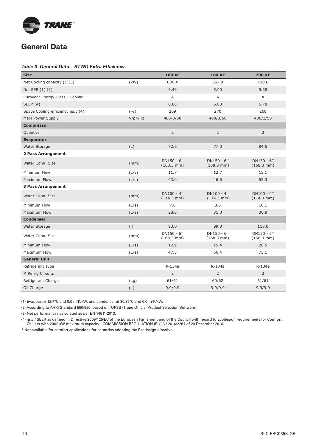

#### Table 3. General Data - RTWD Extra Efficiency

| <b>Size</b>                       |         | <b>160 XE</b>                          | <b>180 XE</b>                          | <b>200 XE</b>                          |
|-----------------------------------|---------|----------------------------------------|----------------------------------------|----------------------------------------|
| Net Cooling capacity (1)(3)       | (kW)    | 606.4                                  | 667.9                                  | 720.0                                  |
| Net EER (1) (3)                   |         | 5.49                                   | 5.40                                   | 5.38                                   |
| Eurovent Energy Class - Cooling   |         | A                                      | A                                      | A                                      |
| <b>SEER (4)</b>                   |         | 6.80                                   | 6.83                                   | 6.78                                   |
| Space Cooling efficiency ns,c (4) | (9/6)   | 269                                    | 270                                    | 268                                    |
| Main Power Supply                 | V/ph/Hz | 400/3/50                               | 400/3/50                               | 400/3/50                               |
| <b>Compressor</b>                 |         |                                        |                                        |                                        |
| Quantity                          |         | $\overline{2}$                         | $\overline{2}$                         | $\overline{2}$                         |
| <b>Evaporator</b>                 |         |                                        |                                        |                                        |
| Water Storage                     | (L)     | 72.6                                   | 77.0                                   | 84.5                                   |
| 2 Pass Arrangement                |         |                                        |                                        |                                        |
| Water Conn. Size                  | (mm)    | DN150 - 6"<br>$(168.3 \, \text{mm})$   | $DN150 - 6"$<br>$(168.3 \, \text{mm})$ | $DN150 - 6"$<br>$(168.3 \, \text{mm})$ |
| Minimum Flow                      | (L/s)   | 11.7                                   | 12.7                                   | 15.1                                   |
| Maximum Flow                      | (L/s)   | 43.0                                   | 46.6                                   | 55.3                                   |
| 3 Pass Arrangement                |         |                                        |                                        |                                        |
| Water Conn. Size                  | (mm)    | $DN100 - 4"$<br>$(114.3 \, \text{mm})$ | $DN100 - 4"$<br>$(114.3 \text{ mm})$   | $DN100 - 4"$<br>$(114.3 \text{ mm})$   |
| Minimum Flow                      | (L/s)   | 7.8                                    | 8.5                                    | 10.1                                   |
| Maximum Flow                      | (L/s)   | 28.6                                   | 31.0                                   | 36.9                                   |
| <b>Condenser</b>                  |         |                                        |                                        |                                        |
| Water Storage                     | (1)     | 93.0                                   | 99.0                                   | 118.0                                  |
| Water Conn. Size                  | (mm)    | $DN150 - 6"$<br>$(168.3 \text{ mm})$   | $DN150 - 6''$<br>$(168.3 \text{ mm})$  | $DN150 - 6"$<br>$(168.3 \text{ mm})$   |
| Minimum Flow                      | (L/s)   | 12.9                                   | 15.4                                   | 20.5                                   |
| Maximum Flow                      | (L/s)   | 47.5                                   | 56.4                                   | 75.1                                   |
| <b>General Unit</b>               |         |                                        |                                        |                                        |
| Refrigerant Type                  |         | R-134a                                 | R-134a                                 | R-134a                                 |
| # Refrig Circuits                 |         | $\overline{2}$                         | $\overline{2}$                         | $\overline{2}$                         |
| Refrigerant Charge                | (kg)    | 61/61                                  | 60/62                                  | 61/61                                  |
| Oil Charge                        | (L)     | 9.9/9.9                                | 9.9/9.9                                | 9.9/9.9                                |

(1) Evaporator 12/7°C and 0.0 m²K/kW, and condenser at 30/35°C and 0.0 m²K/kW.

(2) According to AHRI Standard 550/590, based on TOPSS (Trane Official Product Selection Software).

(3) Net performances calculated as per EN 14511-2013.

(4) ηs,c / SEER as defined in Directive 2009/125/EC of the European Parliament and of the Council with regard to Ecodesign requirements for Comfort Chillers with 2000 kW maximum capacity - COMMISSION REGULATION (EU) N° 2016/2281 of 20 December 2016.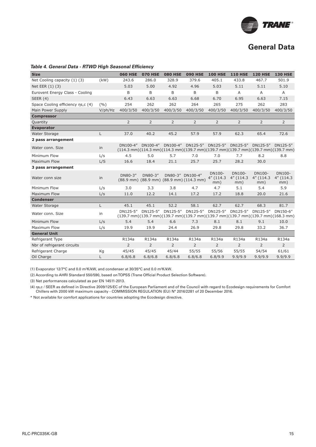

#### **Table 4. General Data - RTWD High Seasonal Efficiency**

| <b>Size</b>                       |         | <b>060 HSE</b> | <b>070 HSE</b> | <b>080 HSE</b> | <b>090 HSE</b>                                                                                                                                                 | <b>100 HSE</b>                 | <b>110 HSE</b>                 | <b>120 HSE</b>             | <b>130 HSE</b>             |
|-----------------------------------|---------|----------------|----------------|----------------|----------------------------------------------------------------------------------------------------------------------------------------------------------------|--------------------------------|--------------------------------|----------------------------|----------------------------|
| Net Cooling capacity (1) (3)      | (kW)    | 243.6          | 286.0          | 328.9          | 379.6                                                                                                                                                          | 405.1                          | 433.8                          | 467.7                      | 501.9                      |
| Net EER (1) (3)                   |         | 5.03           | 5.00           | 4.92           | 4.96                                                                                                                                                           | 5.03                           | 5.11                           | 5.11                       | 5.10                       |
| Eurovent Energy Class - Cooling   |         | B              | B              | B              | B                                                                                                                                                              | B                              | A                              | $\overline{A}$             | $\overline{A}$             |
| SEER $(4)$                        |         | 6.43           | 6.63           | 6.63           | 6.68                                                                                                                                                           | 6.70                           | 6.95                           | 6.63                       | 7.15                       |
| Space Cooling efficiency ns,c (4) | (9/0)   | 254            | 262            | 262            | 264                                                                                                                                                            | 265                            | 275                            | 262                        | 283                        |
| Main Power Supply                 | V/ph/Hz | 400/3/50       | 400/3/50       | 400/3/50       | 400/3/50                                                                                                                                                       | 400/3/50                       | 400/3/50                       | 400/3/50                   | 400/3/50                   |
| <b>Compressor</b>                 |         |                |                |                |                                                                                                                                                                |                                |                                |                            |                            |
| Quantity                          |         | $\overline{2}$ | $\overline{2}$ | 2              | 2                                                                                                                                                              | $\overline{2}$                 | $\overline{2}$                 | $\overline{2}$             | $\overline{2}$             |
| <b>Evaporator</b>                 |         |                |                |                |                                                                                                                                                                |                                |                                |                            |                            |
| Water Storage                     | L       | 37.0           | 40.2           | 45.2           | 57.9                                                                                                                                                           | 57.9                           | 62.3                           | 65.4                       | 72.6                       |
| 2 pass arrangement                |         |                |                |                |                                                                                                                                                                |                                |                                |                            |                            |
| Water conn. Size                  | in      | DN100-4"       | DN100-4"       | DN100-4"       | DN125-5"<br>$(114.3 \text{ mm})(114.3 \text{ mm})(114.3 \text{ mm})(139.7 \text{ mm})(139.7 \text{ mm})(139.7 \text{ mm})(139.7 \text{ mm})(139.7 \text{ mm})$ | DN125-5"                       | DN125-5"                       | DN125-5"                   | DN125-5"                   |
| Minimum Flow                      | L/s     | 4.5            | 5.0            | 5.7            | 7.0                                                                                                                                                            | 7.0                            | 7.7                            | 8.2                        | 8.8                        |
| Maximum Flow                      | L/S     | 16.6           | 18.4           | 21.1           | 25.7                                                                                                                                                           | 25.7                           | 28.2                           | 30.0                       |                            |
| 3 pass arrangement                |         |                |                |                |                                                                                                                                                                |                                |                                |                            |                            |
| Water conn size                   | in      | DN80-3"        | DN80-3"        |                | DN80-3" DN100-4"<br>(88.9 mm) (88.9 mm) (88.9 mm) (114.3 mm)                                                                                                   | DN100-<br>$4''$ (114.3)<br>mm) | DN100-<br>$4''$ (114.3)<br>mm) | DN100-<br>4" (114.3<br>mm) | DN100-<br>4" (114.3<br>mm) |
| Minimum Flow                      | L/s     | 3.0            | 3.3            | 3.8            | 4.7                                                                                                                                                            | 4.7                            | 5.1                            | 5.4                        | 5.9                        |
| <b>Maximum Flow</b>               | L/s     | 11.0           | 12.2           | 14.1           | 17.2                                                                                                                                                           | 17.2                           | 18.8                           | 20.0                       | 21.6                       |
| <b>Condenser</b>                  |         |                |                |                |                                                                                                                                                                |                                |                                |                            |                            |
| Water Storage                     | L.      | 45.1           | 45.1           | 52.2           | 58.1                                                                                                                                                           | 62.7                           | 62.7                           | 68.3                       | 81.7                       |
| Water conn. Size                  | in      | DN125-5"       | DN125-5"       | DN125-5"       | DN125-5"<br>$(139.7 \text{ mm})(139.7 \text{ mm})(139.7 \text{ mm})(139.7 \text{ mm})(139.7 \text{ mm})(139.7 \text{ mm})(139.7 \text{ mm})(168.3 \text{ mm})$ | DN125-5"                       | DN125-5"                       | DN125-5"                   | DN150-6"                   |
| Minimum Flow                      | L/s     | 5.4            | 5.4            | 6.6            | 7.3                                                                                                                                                            | 8.1                            | 8.1                            | 9.1                        | 10.0                       |
| Maximum Flow                      | L/s     | 19.9           | 19.9           | 24.4           | 26.9                                                                                                                                                           | 29.8                           | 29.8                           | 33.2                       | 36.7                       |
| <b>General Unit</b>               |         |                |                |                |                                                                                                                                                                |                                |                                |                            |                            |
| Refrigerant Type                  |         | R134a          | R134a          | R134a          | R134a                                                                                                                                                          | R134a                          | R134a                          | R134a                      | R134a                      |
| Nbr of refrigerant circuits       |         | $\overline{2}$ | $\overline{2}$ | $\overline{2}$ | $\overline{2}$                                                                                                                                                 | $\overline{2}$                 | $\overline{2}$                 | $\overline{2}$             | $\overline{2}$             |
| Refrigerant Charge                | Kg      | 45/45          | 45/45          | 45/44          | 55/55                                                                                                                                                          | 55/56                          | 55/55                          | 54/54                      | 61/61                      |
| Oil Charge                        | L       | 6.8/6.8        | 6.8/6.8        | 6.8/6.8        | 6.8/6.8                                                                                                                                                        | 6.8/9.9                        | 9.9/9.9                        | 9.9/9.9                    | 9.9/9.9                    |

(1) Evaporator 12/7°C and 0.0 m²K/kW, and condenser at 30/35°C and 0.0 m²K/kW.

(2) According to AHRI Standard 550/590, based on TOPSS (Trane Official Product Selection Software).

(3) Net performances calculated as per EN 14511-2013.

(4) ηs,c / SEER as defined in Directive 2009/125/EC of the European Parliament and of the Council with regard to Ecodesign requirements for Comfort Chillers with 2000 kW maximum capacity - COMMISSION REGULATION (EU) N° 2016/2281 of 20 December 2016.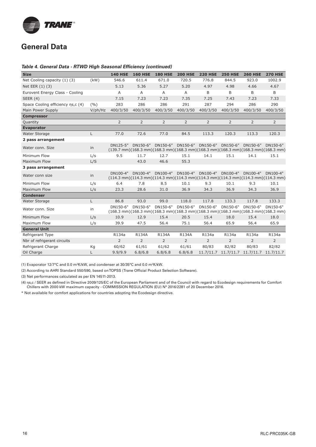

#### **Table 4. General Data - RTWD High Seasonal Efficiency (continued)**

| <b>Size</b>                       |            | <b>140 HSE</b> | <b>160 HSE</b> | <b>180 HSE</b> | <b>200 HSE</b> | <b>220 HSE</b> | <b>250 HSE</b> | <b>260 HSE</b>                                                                                                                                                 | <b>270 HSE</b> |
|-----------------------------------|------------|----------------|----------------|----------------|----------------|----------------|----------------|----------------------------------------------------------------------------------------------------------------------------------------------------------------|----------------|
| Net Cooling capacity (1) (3)      | (kW)       | 546.6          | 611.4          | 671.0          | 720.5          | 776.8          | 844.5          | 923.0                                                                                                                                                          | 1002.9         |
| Net EER (1) (3)                   |            | 5.13           | 5.36           | 5.27           | 5.20           | 4.97           | 4.98           | 4.66                                                                                                                                                           | 4.67           |
| Eurovent Energy Class - Cooling   |            | A              | A              | A              | A              | B              | B              | B                                                                                                                                                              | B              |
| <b>SEER (4)</b>                   |            | 7.15           | 7.23           | 7.23           | 7.35           | 7.25           | 7.43           | 7.23                                                                                                                                                           | 7.33           |
| Space Cooling efficiency ns,c (4) | (9/0)      | 283            | 286            | 286            | 291            | 287            | 294            | 286                                                                                                                                                            | 290            |
| Main Power Supply                 | $V$ /ph/Hz | 400/3/50       | 400/3/50       | 400/3/50       | 400/3/50       | 400/3/50       | 400/3/50       | 400/3/50                                                                                                                                                       | 400/3/50       |
| <b>Compressor</b>                 |            |                |                |                |                |                |                |                                                                                                                                                                |                |
| Quantity                          |            | $\overline{2}$ | $\overline{2}$ | $\overline{2}$ | 2              | 2              | $\overline{2}$ | $\overline{2}$                                                                                                                                                 | $\overline{2}$ |
| <b>Evaporator</b>                 |            |                |                |                |                |                |                |                                                                                                                                                                |                |
| <b>Water Storage</b>              | L.         | 77.0           | 72.6           | 77.0           | 84.5           | 113.3          | 120.3          | 113.3                                                                                                                                                          | 120.3          |
| 2 pass arrangement                |            |                |                |                |                |                |                |                                                                                                                                                                |                |
| Water conn, Size                  | in         | DN125-5"       | DN150-6"       | DN150-6"       | DN150-6"       | DN150-6"       | DN150-6"       | DN150-6"<br>$(139.7 \text{ mm})(168.3 \text{ mm})(168.3 \text{ mm})(168.3 \text{ mm})(168.3 \text{ mm})(168.3 \text{ mm})(168.3 \text{ mm})(168.3 \text{ mm})$ | DN150-6"       |
| Minimum Flow                      | L/s        | 9.5            | 11.7           | 12.7           | 15.1           | 14.1           | 15.1           | 14.1                                                                                                                                                           | 15.1           |
| Maximum Flow                      | L/S        |                | 43.0           | 46.6           | 55.3           |                |                |                                                                                                                                                                |                |
| 3 pass arrangement                |            |                |                |                |                |                |                |                                                                                                                                                                |                |
| Water conn size                   | in         | DN100-4"       | DN100-4"       | DN100-4"       | DN100-4"       | DN100-4"       | DN100-4"       | DN100-4"<br>$(114.3 \text{ mm})(114.3 \text{ mm})(114.3 \text{ mm})(114.3 \text{ mm})(114.3 \text{ mm})(114.3 \text{ mm})(114.3 \text{ mm})$                   | DN100-4"       |
| Minimum Flow                      | L/s        | 6.4            | 7.8            | 8.5            | 10.1           | 9.3            | 10.1           | 9.3                                                                                                                                                            | 10.1           |
| Maximum Flow                      | L/s        | 23.3           | 28.6           | 31.0           | 36.9           | 34.3           | 36.9           | 34.3                                                                                                                                                           | 36.9           |
| <b>Condenser</b>                  |            |                |                |                |                |                |                |                                                                                                                                                                |                |
| <b>Water Storage</b>              | L          | 86.8           | 93.0           | 99.0           | 118.0          | 117.8          | 133.3          | 117.8                                                                                                                                                          | 133.3          |
| Water conn, Size                  | in         | DN150-6"       | DN150-6"       | DN150-6"       | DN150-6"       | DN150-6"       | DN150-6"       | DN150-6"<br>$(168.3 \text{ mm})(168.3 \text{ mm})(168.3 \text{ mm})(168.3 \text{ mm})(168.3 \text{ mm})(168.3 \text{ mm})(168.3 \text{ mm})(168.3 \text{ mm})$ | DN150-6"       |
| Minimum Flow                      | L/s        | 10.9           | 12.9           | 15.4           | 20.5           | 15.4           | 18.0           | 15.4                                                                                                                                                           | 18.0           |
| Maximum Flow                      | L/s        | 39.9           | 47.5           | 56.4           | 75.1           | 56.4           | 65.9           | 56.4                                                                                                                                                           | 65.9           |
| <b>General Unit</b>               |            |                |                |                |                |                |                |                                                                                                                                                                |                |
| Refrigerant Type                  |            | R134a          | R134A          | R134A          | R134A          | R134a          | R134a          | R134a                                                                                                                                                          | R134a          |
| Nbr of refrigerant circuits       |            | $\overline{2}$ | $\overline{2}$ | $\overline{2}$ | $\overline{2}$ | $\overline{2}$ | $\overline{2}$ | $\overline{2}$                                                                                                                                                 | $\overline{2}$ |
| Refrigerant Charge                | Кg         | 60/62          | 61/61          | 61/62          | 61/61          | 80/83          | 82/82          | 80/83                                                                                                                                                          | 82/82          |
| Oil Charge                        | L          | 9.9/9.9        | 6.8/6.8        | 6.8/6.8        | 6.8/6.8        |                |                | 11.7/11.7 11.7/11.7 11.7/11.7                                                                                                                                  | 11.7/11.7      |

(1) Evaporator 12/7°C and 0.0 m²K/kW, and condenser at 30/35°C and 0.0 m²K/kW.

(2) According to AHRI Standard 550/590, based on TOPSS (Trane Official Product Selection Software).

(3) Net performances calculated as per EN 14511-2013.

(4) ης,c / SEER as defined in Directive 2009/125/EC of the European Parliament and of the Council with regard to Ecodesign requirements for Comfort Chillers with 2000 kW maximum capacity - COMMISSION REGULATION (EU) N° 2016/2281 of 20 December 2016.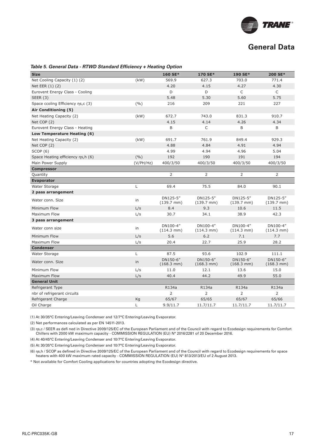

#### **Table 5. General Data - RTWD Standard Efficiency + Heating Option**

| <b>Size</b>                        |           | 160 SE*                          | 170 SE*                          | 190 SE*                          | 200 SE*                          |
|------------------------------------|-----------|----------------------------------|----------------------------------|----------------------------------|----------------------------------|
| Net Cooling Capacity (1) (2)       | (kW)      | 569.9                            | 627.3                            | 703.0                            | 771.4                            |
| Net EER (1) (2)                    |           | 4.20                             | 4.15                             | 4.27                             | 4.30                             |
| Eurovent Energy Class - Cooling    |           | D                                | D                                | $\mathsf{C}$                     | C                                |
| SEER $(3)$                         |           | 5.48                             | 5.30                             | 5.60                             | 5.75                             |
| Space ccoling Efficiency ns,c (3)  | (9/0)     | 216                              | 209                              | 221                              | 227                              |
| Air Conditioning (5)               |           |                                  |                                  |                                  |                                  |
| Net Heating Capacity (2)           | (kW)      | 672.7                            | 743.0                            | 831.3                            | 910.7                            |
| Net COP (2)                        |           | 4.15                             | 4.14                             | 4.26                             | 4.34                             |
| Eurovent Energy Class - Heating    |           | B                                | C                                | B                                | B                                |
| Low Temperature Heating (6)        |           |                                  |                                  |                                  |                                  |
| Net Heating Capacity (2)           | (kW)      | 691.7                            | 761.9                            | 849.4                            | 929.3                            |
| Net COP (2)                        |           | 4.88                             | 4.84                             | 4.91                             | 4.94                             |
| SCOP(6)                            |           | 4.99                             | 4.94                             | 4.96                             | 5.04                             |
| Space Heating efficiency ns, h (6) | (9/0)     | 192                              | 190                              | 191                              | 194                              |
| Main Power Supply                  | (V/PH/Hz) | 400/3/50                         | 400/3/50                         | 400/3/50                         | 400/3/50                         |
| <b>Compressor</b>                  |           |                                  |                                  |                                  |                                  |
| Quantity                           |           | 2                                | 2                                | $\overline{2}$                   | 2                                |
| <b>Evaporator</b>                  |           |                                  |                                  |                                  |                                  |
| Water Storage                      | Г         | 69.4                             | 75.5                             | 84.0                             | 90.1                             |
| 2 pass arrangement                 |           |                                  |                                  |                                  |                                  |
| Water conn. Size                   | in        | DN125-5"<br>$(139.7 \text{ mm})$ | DN125-5"<br>$(139.7 \text{ mm})$ | DN125-5"<br>$(139.7 \text{ mm})$ | DN125-5"<br>$(139.7 \text{ mm})$ |
| Minimum Flow                       | L/s       | 8.4                              | 9.3                              | 10.6                             | 11.5                             |
| Maximum Flow                       | L/s       | 30.7                             | 34.1                             | 38.9                             | 42.3                             |
| 3 pass arrangement                 |           |                                  |                                  |                                  |                                  |
| Water conn size                    | in        | DN100-4"<br>$(114.3 \text{ mm})$ | DN100-4"<br>$(114.3 \text{ mm})$ | DN100-4"<br>$(114.3 \text{ mm})$ | DN100-4"<br>$(114.3 \text{ mm})$ |
| Minimum Flow                       | L/s       | 5.6                              | 6.2                              | 7.1                              | 7.7                              |
| Maximum Flow                       | L/s       | 20.4                             | 22.7                             | 25.9                             | 28.2                             |
| <b>Condenser</b>                   |           |                                  |                                  |                                  |                                  |
| Water Storage                      | L         | 87.5                             | 93.6                             | 102.9                            | 111.1                            |
| Water conn. Size                   | in        | DN150-6"<br>$(168.3 \text{ mm})$ | DN150-6"<br>$(168.3 \text{ mm})$ | DN150-6"<br>$(168.3 \text{ mm})$ | DN150-6"<br>$(168.3 \text{ mm})$ |
| Minimum Flow                       | L/s       | 11.0                             | 12.1                             | 13.6                             | 15.0                             |
| <b>Maximum Flow</b>                | L/s       | 40.4                             | 44.2                             | 49.9                             | 55.0                             |
| <b>General Unit</b>                |           |                                  |                                  |                                  |                                  |
| Refrigerant Type                   |           | R134a                            | R134a                            | R134a                            | R134a                            |
| nbr of refrigerant circuits        |           | 2                                | 2                                | 2                                | 2                                |
| Refrigerant Charge                 | Kg        | 65/67                            | 65/65                            | 65/67                            | 65/66                            |
| Oil Charge                         | Г         | 9.9/11.7                         | 11.7/11.7                        | 11.7/11.7                        | 11.7/11.7                        |

(1) At 30/35°C Entering/Leaving Condenser and 12/7°C Entering/Leaving Evaporator.

(2) Net performances calculated as per EN 14511-2013.

(3) ηs,c / SEER as defi ned in Directive 2009/125/EC of the European Parliament and of the Council with regard to Ecodesign requirements for Comfort Chillers with 2000 kW maximum capacity - COMMISSION REGULATION (EU) N° 2016/2281 of 20 December 2016.

(4) At 40/45°C Entering/Leaving Condenser and 10/7°C Entering/Leaving Evaporator.

(5) At 30/35°C Entering/Leaving Condenser and 10/7°C Entering/Leaving Evaporator.

(6) ηs,h / SCOP as defined in Directive 2009/125/EC of the European Parliament and of the Council with regard to Ecodesign requirements for space heaters with 400 kW maximum rated capacity - COMMISSION REGULATION (EU) N° 813/2013/EU of 2 August 2013.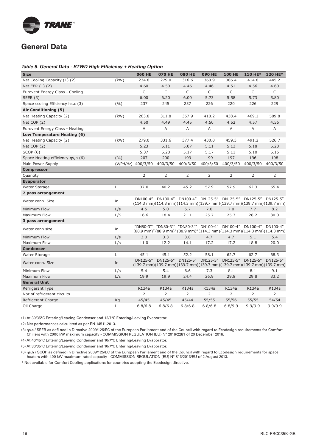

#### **Table 6. General Data - RTWD High Efficiency + Heating Option**

| <b>Size</b>                       |       | <b>060 HE</b>      | <b>070 HE</b> | <b>080 HE</b>                                                     | <b>090 HE</b> | <b>100 HE</b>  | 110 HE*                    | 120 HE*                                                                                                                          |
|-----------------------------------|-------|--------------------|---------------|-------------------------------------------------------------------|---------------|----------------|----------------------------|----------------------------------------------------------------------------------------------------------------------------------|
| Net Cooling Capacity (1) (2)      | (kW)  | 234.8              | 279.0         | 316.6                                                             | 360.9         | 386.4          | 414.8                      | 445.2                                                                                                                            |
| Net EER (1) (2)                   |       | 4.60               | 4.50          | 4.46                                                              | 4.46          | 4.51           | 4.56                       | 4.60                                                                                                                             |
| Eurovent Energy Class - Cooling   |       | C                  | C             | C                                                                 | C             | C              | C                          | C                                                                                                                                |
| SEER $(3)$                        |       | 6.00               | 6.20          | 6.00                                                              | 5.73          | 5.58           | 5.73                       | 5.80                                                                                                                             |
| Space ccoling Efficiency hs,c (3) | (9/6) | 237                | 245           | 237                                                               | 226           | 220            | 226                        | 229                                                                                                                              |
| Air Conditioning (5)              |       |                    |               |                                                                   |               |                |                            |                                                                                                                                  |
| Net Heating Capacity (2)          | (kW)  | 263.8              | 311.8         | 357.9                                                             | 410.2         | 438.4          | 469.1                      | 509.8                                                                                                                            |
| Net COP (2)                       |       | 4.50               | 4.49          | 4.45                                                              | 4.50          | 4.52           | 4.57                       | 4.56                                                                                                                             |
| Eurovent Energy Class - Heating   |       | Α                  | Α             | Α                                                                 | Α             | Α              | A                          | A                                                                                                                                |
| Low Temperature Heating (6)       |       |                    |               |                                                                   |               |                |                            |                                                                                                                                  |
| Net Heating Capacity (2)          | (kW)  | 279.0              | 331.6         | 377.4                                                             | 430.0         | 459.3          | 491.2                      | 526.7                                                                                                                            |
| Net COP (2)                       |       | 5.23               | 5.11          | 5.07                                                              | 5.11          | 5.13           | 5.18                       | 5.20                                                                                                                             |
| SCOP(6)                           |       | 5.37               | 5.20          | 5.17                                                              | 5.17          | 5.11           | 5.10                       | 5.15                                                                                                                             |
| Space Heating efficiency ns,h (6) | (9/0) | 207                | 200           | 199                                                               | 199           | 197            | 196                        | 198                                                                                                                              |
| Main Power Supply                 |       | (V/PH/Hz) 400/3/50 | 400/3/50      | 400/3/50                                                          | 400/3/50      | 400/3/50       | 400/3/50                   | 400/3/50                                                                                                                         |
| <b>Compressor</b>                 |       |                    |               |                                                                   |               |                |                            |                                                                                                                                  |
| Quantity                          |       | 2                  | 2             | 2                                                                 | 2             | $\overline{2}$ | $\overline{2}$             | 2                                                                                                                                |
| <b>Evaporator</b>                 |       |                    |               |                                                                   |               |                |                            |                                                                                                                                  |
| Water Storage                     | L     | 37.0               | 40.2          | 45.2                                                              | 57.9          | 57.9           | 62.3                       | 65.4                                                                                                                             |
| 2 pass arrangement                |       |                    |               |                                                                   |               |                |                            |                                                                                                                                  |
| Water conn. Size                  | in    |                    |               | DN100-4" DN100-4" DN100-4" DN125-5" DN125-5" DN125-5" DN125-5"    |               |                |                            | $(114.3 \text{ mm})(114.3 \text{ mm})(114.3 \text{ mm})(139.7 \text{ mm})(139.7 \text{ mm})(139.7 \text{ mm})(139.7 \text{ mm})$ |
| Minimum Flow                      | L/s   | 4.5                | 5.0           | 5.7                                                               | 7.0           | 7.0            | 7.7                        | 8.2                                                                                                                              |
| Maximum Flow                      | L/S   | 16.6               | 18.4          | 21.1                                                              | 25.7          | 25.7           | 28.2                       | 30.0                                                                                                                             |
| 3 pass arrangement                |       |                    |               |                                                                   |               |                |                            |                                                                                                                                  |
| Water conn size                   | in    |                    |               | "DN80-3"" "DN80-3"" "DN80-3"" DN100-4" DN100-4" DN100-4" DN100-4" |               |                |                            | (88.9 mm)" (88.9 mm)" (88.9 mm)" (114.3 mm) (114.3 mm) (114.3 mm) (114.3 mm)                                                     |
| Minimum Flow                      | L/s   | 3.0                | 3.3           | 3.8                                                               | 4.7           | 4.7            | 5.1                        | 5.4                                                                                                                              |
| Maximum Flow                      | L/s   | 11.0               | 12.2          | 14.1                                                              | 17.2          | 17.2           | 18.8                       | 20.0                                                                                                                             |
| <b>Condenser</b>                  |       |                    |               |                                                                   |               |                |                            |                                                                                                                                  |
| Water Storage                     | L     | 45.1               | 45.1          | 52.2                                                              | 58.1          | 62.7           | 62.7                       | 68.3                                                                                                                             |
| Water conn. Size                  | in    |                    |               | DN125-5" DN125-5" DN125-5" DN125-5"                               |               |                | DN125-5" DN125-5" DN125-5" | $(139.7 \text{ mm})(139.7 \text{ mm})(139.7 \text{ mm})(139.7 \text{ mm})(139.7 \text{ mm})(139.7 \text{ mm})$                   |
| Minimum Flow                      | L/s   | 5.4                | 5.4           | 6.6                                                               | 7.3           | 8.1            | 8.1                        | 9.1                                                                                                                              |
| Maximum Flow                      | L/s   | 19.9               | 19.9          | 24.4                                                              | 26.9          | 29.8           | 29.8                       | 33.2                                                                                                                             |
| <b>General Unit</b>               |       |                    |               |                                                                   |               |                |                            |                                                                                                                                  |
| Refrigerant Type                  |       | R134a              | R134a         | R134a                                                             | R134a         | R134a          | R134a                      | R134a                                                                                                                            |
| Nbr of refrigerant circuits       |       | 2                  | 2             | 2                                                                 | 2             | $\overline{2}$ | 2                          | 2                                                                                                                                |
| Refrigerant Charge                | Kg    | 45/45              | 45/45         | 45/44                                                             | 55/55         | 55/56          | 55/55                      | 54/54                                                                                                                            |
| Oil Charge                        | L     | 6.8/6.8            | 6.8/6.8       | 6.8/6.8                                                           | 6.8/6.8       | 6.8/9.9        | 9.9/9.9                    | 9.9/9.9                                                                                                                          |

(1) At 30/35°C Entering/Leaving Condenser and 12/7°C Entering/Leaving Evaporator.

(2) Net performances calculated as per EN 14511-2013.

(3) ηs,c / SEER as defi ned in Directive 2009/125/EC of the European Parliament and of the Council with regard to Ecodesign requirements for Comfort Chillers with 2000 kW maximum capacity - COMMISSION REGULATION (EU) N° 2016/2281 of 20 December 2016.

(4) At 40/45°C Entering/Leaving Condenser and 10/7°C Entering/Leaving Evaporator.

(5) At 30/35°C Entering/Leaving Condenser and 10/7°C Entering/Leaving Evaporator.

(6) ns,h / SCOP as defined in Directive 2009/125/EC of the European Parliament and of the Council with regard to Ecodesign requirements for space heaters with 400 kW maximum rated capacity - COMMISSION REGULATION (EU) N° 813/2013/EU of 2 August 2013.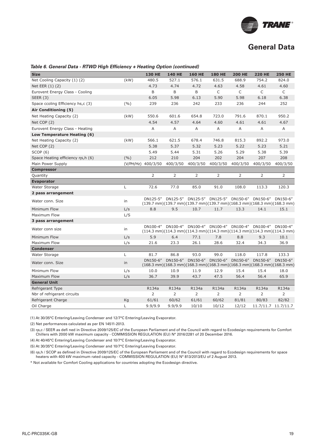

| <b>Size</b>                        |       | <b>130 HE</b>      | <b>140 HE</b> | <b>160 HE</b>                                                                                                                                                                                      | <b>180 HE</b> | <b>200 HE</b> | <b>220 HE</b>  | <b>250 HE</b>       |
|------------------------------------|-------|--------------------|---------------|----------------------------------------------------------------------------------------------------------------------------------------------------------------------------------------------------|---------------|---------------|----------------|---------------------|
| Net Cooling Capacity (1) (2)       | (kW)  | 480.5              | 527.1         | 576.1                                                                                                                                                                                              | 631.5         | 688.9         | 754.2          | 824.0               |
| Net EER (1) (2)                    |       | 4.73               | 4.74          | 4.72                                                                                                                                                                                               | 4.63          | 4.58          | 4.61           | 4.60                |
| Eurovent Energy Class - Cooling    |       | B                  | B             | B                                                                                                                                                                                                  | C             | $\mathsf{C}$  | C              | C                   |
| SEER $(3)$                         |       | 6.05               | 5.98          | 6.13                                                                                                                                                                                               | 5.90          | 5.98          | 6.18           | 6.38                |
| Space ccoling Efficiency hs,c (3)  | (9/6) | 239                | 236           | 242                                                                                                                                                                                                | 233           | 236           | 244            | 252                 |
| Air Conditioning (5)               |       |                    |               |                                                                                                                                                                                                    |               |               |                |                     |
| Net Heating Capacity (2)           | (kW)  | 550.6              | 601.6         | 654.8                                                                                                                                                                                              | 723.0         | 791.6         | 870.1          | 950.2               |
| Net COP (2)                        |       | 4.54               | 4.57          | 4.64                                                                                                                                                                                               | 4.60          | 4.61          | 4.61           | 4.67                |
| Eurovent Energy Class - Heating    |       | Α                  | Α             | Α                                                                                                                                                                                                  | Α             | Α             | Α              | Α                   |
| Low Temperature Heating (6)        |       |                    |               |                                                                                                                                                                                                    |               |               |                |                     |
| Net Heating Capacity (2)           | (kW)  | 566.1              | 621.5         | 678.4                                                                                                                                                                                              | 746.8         | 815.3         | 892.2          | 973.0               |
| Net COP (2)                        |       | 5.38               | 5.37          | 5.32                                                                                                                                                                                               | 5.23          | 5.22          | 5.23           | 5.21                |
| SCOP(6)                            |       | 5.49               | 5.44          | 5.31                                                                                                                                                                                               | 5.26          | 5.29          | 5.38           | 5.39                |
| Space Heating efficiency ns, h (6) | (9/6) | 212                | 210           | 204                                                                                                                                                                                                | 202           | 204           | 207            | 208                 |
| Main Power Supply                  |       | (V/PH/Hz) 400/3/50 | 400/3/50      | 400/3/50                                                                                                                                                                                           | 400/3/50      | 400/3/50      | 400/3/50       | 400/3/50            |
| <b>Compressor</b>                  |       |                    |               |                                                                                                                                                                                                    |               |               |                |                     |
| Quantity                           |       | 2                  | 2             | 2                                                                                                                                                                                                  | 2             | 2             | $\overline{2}$ | 2                   |
| <b>Evaporator</b>                  |       |                    |               |                                                                                                                                                                                                    |               |               |                |                     |
| Water Storage                      | L     | 72.6               | 77.0          | 85.0                                                                                                                                                                                               | 91.0          | 108.0         | 113.3          | 120.3               |
| 2 pass arrangement                 |       |                    |               |                                                                                                                                                                                                    |               |               |                |                     |
| Water conn. Size                   | in    |                    |               | DN125-5" DN125-5" DN125-5" DN125-5" DN150-6" DN150-6" DN150-6"<br>$(139.7 \text{ mm})(139.7 \text{ mm})(139.7 \text{ mm})(139.7 \text{ mm})(168.3 \text{ mm})(168.3 \text{ mm})(168.3 \text{ mm})$ |               |               |                |                     |
| Minimum Flow                       | L/s   | 8.8                | 9.5           | 10.7                                                                                                                                                                                               | 11.7          | 13.3          | 14.1           | 15.1                |
| Maximum Flow                       | L/S   |                    |               |                                                                                                                                                                                                    |               |               |                |                     |
| 3 pass arrangement                 |       |                    |               |                                                                                                                                                                                                    |               |               |                |                     |
| Water conn size                    | in    |                    |               | DN100-4" DN100-4" DN100-4" DN100-4" DN100-4"<br>$(114.3 \text{ mm})(114.3 \text{ mm})(114.3 \text{ mm})(114.3 \text{ mm})(114.3 \text{ mm})(114.3 \text{ mm})(114.3 \text{ mm})$                   |               |               |                | DN100-4" DN100-4"   |
| Minimum Flow                       | L/s   | 5.9                | 6.4           | 77.1                                                                                                                                                                                               | 7.8           | 8.8           | 9.3            | 10.1                |
| Maximum Flow                       | L/s   | 21.6               | 23.3          | 26.1                                                                                                                                                                                               | 28.6          | 32.4          | 34.3           | 36.9                |
| <b>Condenser</b>                   |       |                    |               |                                                                                                                                                                                                    |               |               |                |                     |
| Water Storage                      | L     | 81.7               | 86.8          | 93.0                                                                                                                                                                                               | 99.0          | 118.0         | 117.8          | 133.3               |
| Water conn. Size                   | in    | DN150-6"           | DN150-6"      | DN150-6"<br>$(168.3 \text{ mm})(168.3 \text{ mm})(168.3 \text{ mm})(168.3 \text{ mm})(168.3 \text{ mm})(168.3 \text{ mm})(168.3 \text{ mm})$                                                       | DN150-6"      | DN150-6"      | DN150-6"       | DN150-6"            |
| Minimum Flow                       | L/s   | 10.0               | 10.9          | 11.9                                                                                                                                                                                               | 12.9          | 15.4          | 15.4           | 18.0                |
| <b>Maximum Flow</b>                | L/s   | 36.7               | 39.9          | 43.7                                                                                                                                                                                               | 47.5          | 56.4          | 56.4           | 65.9                |
| <b>General Unit</b>                |       |                    |               |                                                                                                                                                                                                    |               |               |                |                     |
| Refrigerant Type                   |       | R134a              | R134a         | R134a                                                                                                                                                                                              | R134a         | R134a         | R134a          | R134a               |
| Nbr of refrigerant circuits        |       | 2                  | 2             | $\overline{2}$                                                                                                                                                                                     | 2             | 2             | $\overline{2}$ | 2                   |
| Refrigerant Charge                 | Kg    | 61/61              | 60/62         | 61/61                                                                                                                                                                                              | 60/62         | 81/81         | 80/83          | 82/82               |
| Oil Charge                         | L     | 9.9/9.9            | 9.9/9.9       | 10/10                                                                                                                                                                                              | 10/12         | 12/12         |                | 11.7/11.7 11.7/11.7 |

#### Table 6. General Data - RTWD High Efficiency + Heating Option (continued)

(1) At 30/35°C Entering/Leaving Condenser and 12/7°C Entering/Leaving Evaporator.

(2) Net performances calculated as per EN 14511-2013.

(3) ηs,c / SEER as defi ned in Directive 2009/125/EC of the European Parliament and of the Council with regard to Ecodesign requirements for Comfort Chillers with 2000 kW maximum capacity - COMMISSION REGULATION (EU) N° 2016/2281 of 20 December 2016.

(4) At 40/45°C Entering/Leaving Condenser and 10/7°C Entering/Leaving Evaporator.

(5) At 30/35°C Entering/Leaving Condenser and 10/7°C Entering/Leaving Evaporator.

(6) ns,h / SCOP as defined in Directive 2009/125/EC of the European Parliament and of the Council with regard to Ecodesign requirements for space heaters with 400 kW maximum rated capacity - COMMISSION REGULATION (EU) N° 813/2013/EU of 2 August 2013.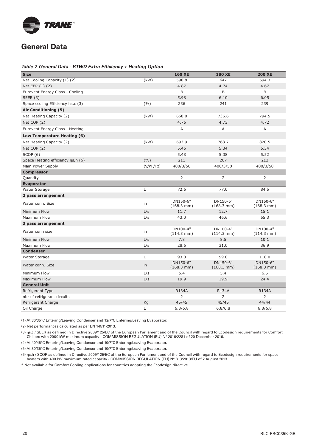

#### **Table 7. General Data - RTWD Extra Efficiency + Heating Option**

| <b>Size</b>                        |           | <b>160 XE</b>                    | <b>180 XE</b>                    | <b>200 XE</b>                    |
|------------------------------------|-----------|----------------------------------|----------------------------------|----------------------------------|
| Net Cooling Capacity (1) (2)       | (kW)      | 590.8                            | 647                              | 694.3                            |
| Net EER (1) (2)                    |           | 4.87                             | 4.74                             | 4.67                             |
| Eurovent Energy Class - Cooling    |           | $\sf B$                          | B                                | B                                |
| SEER $(3)$                         |           | 5.98                             | 6.10                             | 6.05                             |
| Space ccoling Efficiency hs,c (3)  | (9/0)     | 236                              | 241                              | 239                              |
| Air Conditioning (5)               |           |                                  |                                  |                                  |
| Net Heating Capacity (2)           | (kW)      | 668.0                            | 736.6                            | 794.5                            |
| Net COP (2)                        |           | 4.76                             | 4.73                             | 4.72                             |
| Eurovent Energy Class - Heating    |           | Α                                | Α                                | A                                |
| Low Temperature Heating (6)        |           |                                  |                                  |                                  |
| Net Heating Capacity (2)           | (kW)      | 693.9                            | 763.7                            | 820.5                            |
| Net COP (2)                        |           | 5.46                             | 5.34                             | 5.34                             |
| SCOP(6)                            |           | 5.48                             | 5.38                             | 5.52                             |
| Space Heating efficiency ns, h (6) | (9/6)     | 211                              | 207                              | 213                              |
| Main Power Supply                  | (V/PH/Hz) | 400/3/50                         | 400/3/50                         | 400/3/50                         |
| <b>Compressor</b>                  |           |                                  |                                  |                                  |
| Quantity                           |           | 2                                | 2                                | 2                                |
| <b>Evaporator</b>                  |           |                                  |                                  |                                  |
| Water Storage                      | L         | 72.6                             | 77.0                             | 84.5                             |
| 2 pass arrangement                 |           |                                  |                                  |                                  |
| Water conn, Size                   | in        | DN150-6"<br>$(168.3 \text{ mm})$ | DN150-6"<br>$(168.3 \text{ mm})$ | DN150-6"<br>$(168.3 \text{ mm})$ |
| Minimum Flow                       | L/s       | 11.7                             | 12.7                             | 15.1                             |
| Maximum Flow                       | L/s       | 43.0                             | 46.6                             | 55.3                             |
| 3 pass arrangement                 |           |                                  |                                  |                                  |
| Water conn size                    | in        | DN100-4"<br>$(114.3 \text{ mm})$ | DN100-4"<br>$(114.3 \text{ mm})$ | DN100-4"<br>$(114.3 \text{ mm})$ |
| Minimum Flow                       | L/s       | 7.8                              | 8.5                              | 10.1                             |
| Maximum Flow                       | L/s       | 28.6                             | 31.0                             | 36.9                             |
| <b>Condenser</b>                   |           |                                  |                                  |                                  |
| Water Storage                      | L         | 93.0                             | 99.0                             | 118.0                            |
| Water conn, Size                   | in        | DN150-6"<br>$(168.3 \text{ mm})$ | DN150-6"<br>$(168.3 \text{ mm})$ | DN150-6"<br>$(168.3 \text{ mm})$ |
| Minimum Flow                       | L/s       | 5.4                              | 5.4                              | 6.6                              |
| Maximum Flow                       | L/s       | 19.9                             | 19.9                             | 24.4                             |
| <b>General Unit</b>                |           |                                  |                                  |                                  |
| Refrigerant Type                   |           | <b>R134A</b>                     | R134A                            | <b>R134A</b>                     |
| nbr of refrigerant circuits        |           | 2                                | 2                                | 2                                |
| Refrigerant Charge                 | Kg        | 45/45                            | 45/45                            | 44/44                            |
| Oil Charge                         | L         | 6.8/6.8                          | 6.8/6.8                          | 6.8/6.8                          |

(1) At 30/35°C Entering/Leaving Condenser and 12/7°C Entering/Leaving Evaporator.

(2) Net performances calculated as per EN 14511-2013.

(3) ηs,c / SEER as defi ned in Directive 2009/125/EC of the European Parliament and of the Council with regard to Ecodesign requirements for Comfort Chillers with 2000 kW maximum capacity - COMMISSION REGULATION (EU) N° 2016/2281 of 20 December 2016.

(4) At 40/45°C Entering/Leaving Condenser and 10/7°C Entering/Leaving Evaporator.

(5) At 30/35°C Entering/Leaving Condenser and 10/7°C Entering/Leaving Evaporator.

(6) ηs,h / SCOP as defined in Directive 2009/125/EC of the European Parliament and of the Council with regard to Ecodesign requirements for space heaters with 400 kW maximum rated capacity - COMMISSION REGULATION (EU) N° 813/2013/EU of 2 August 2013.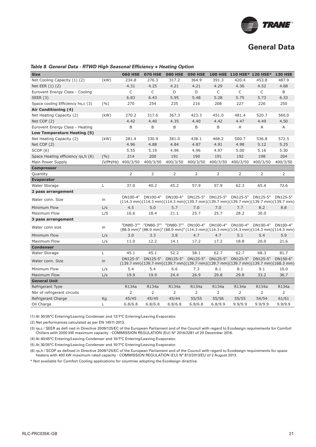

#### **Size 060 HSE 070 HSE 080 HSE 090 HSE 100 HSE 110 HSE\* 120 HSE\* 130 HSE** Net Cooling Capacity (1) (2) (kW) 234.8 276.3 317.2 364.9 391.3 420.4 453.8 487.9 Net EER (1) (2) 2003 1.52 4.31 4.25 4.21 4.21 4.21 4.29 4.36 4.52 4.68 Eurovent Energy Class - Cooling C C D D C C C B SEER (3) 6.83 6.43 5.95 5.48 5.28 5.75 5.73 6.33 Space cooling Efficiency hs,c (3) (%) 270 254 235 216 208 227 226 250 **Air Conditioning (4)** Net Heating Capacity (2) (kW) 270.2 317.6 367.3 423.3 451.0 481.4 520.7 560.0 Net COP (2) 4.42 4.40 4.35 4.40 4.42 4.47 4.49 4.50 Eurovent Energy Class - Heating B B B B B B A A A A **Low Temperature Heating (5)** Net Heating Capacity (2) (kW) 281.4 330.9 381.0 438.1 468.2 500.7 536.8 572.5 Net COP (2) 4.96 4.88 4.84 4.87 4.91 4.98 5.12 5.25 SCOP (6) 5.55 5.19 4.96 4.96 4.97 5.00 5.16 5.30 Space Heating efficiency ηs, h (6) (%) 214 200 191 190 191 192 198 204 Main Power Supply (V/PH/Hz) 400/3/50 400/3/50 400/3/50 400/3/50 400/3/50 400/3/50 400/3/50 400/3/50 **Compressor** Quantity 2 2 2 2 2 2 2 2 **Evaporator**  Water Storage L 37.0 40.2 45.2 57.9 57.9 62.3 65.4 72.6 **2 pass arrangement** Water conn. Size in DN100-4"  $(114.3 \text{ mm})(114.3 \text{ mm})(139.7 \text{ mm})(139.7 \text{ mm})(139.7 \text{ mm})(139.7 \text{ mm})(139.7 \text{ mm})$ DN100-4" DN100-4" DN125-5" DN125-5" DN125-5" DN125-5" DN125-5" Minimum Flow L/s 4.5 5.0 5.7 7.0 7.0 7.7 8.2 8.8 Maximum Flow L/S 16.6 18.4 21.1 25.7 25.7 28.2 30.0 **3 pass arrangement** Water conn size in the "DN80-3"" (88.9 mm)" (88.9 mm)" (88.9 mm)" (114.3 mm) (114.3 mm) (114.3 mm) (114.3 mm) (114.3 mm) "DN80-3"" "DN80-3"" DN100-4" DN100-4" DN100-4" DN100-4" DN100-4" Minimum Flow L/s 3.0 3.3 3.8 4.7 4.7 5.1 5.4 5.9 Maximum Flow L/s 11.0 12.2 14.1 17.2 17.2 18.8 20.0 21.6 **Condenser** Water Storage  $\begin{array}{cccccccc}\n\text{L} & 45.1 & 45.1 & 52.2 & 58.1 & 62.7 & 68.3 & 81.7\n\end{array}$ Water conn. Size  $\frac{DN125-5}{N}$ (139.7 mm) (139.7 mm) (139.7 mm) (139.7 mm) (139.7 mm) (139.7 mm) (139.7 mm) (168.3 mm) DN125-5" DN125-5" DN125-5" DN125-5" DN125-5" DN125-5" DN150-6" Minimum Flow L/s 5.4 5.4 6.6 7.3 8.1 8.1 9.1 10.0 Maximum Flow L/s 19.9 19.9 24.4 26.9 29.8 29.8 33.2 36.7 **General Unit** Refrigerant Type R134a R134a R134a R134a R134a R134a R134a R134a Nbr of refrigerant circuits <br>
2 2 2 2 2 2 2 Refrigerant Charge 61/61 645/45 45/45 45/44 45/55 55/56 55/55 54/54 61/61 Oil Charge L 6.8/6.8 6.8/6.8 6.8/6.8 6.8/6.8 6.8/9.9 9.9/9.9 9.9/9.9 9.9/9.9

#### Table 8. General Data - RTWD High Seasonal Efficiency + Heating Option

(1) At 30/35°C Entering/Leaving Condenser and 12/7°C Entering/Leaving Evaporator.

(2) Net performances calculated as per EN 14511-2013.

(3) ηs,c / SEER as defi ned in Directive 2009/125/EC of the European Parliament and of the Council with regard to Ecodesign requirements for Comfort Chillers with 2000 kW maximum capacity - COMMISSION REGULATION (EU) N° 2016/2281 of 20 December 2016.

(4) At 40/45°C Entering/Leaving Condenser and 10/7°C Entering/Leaving Evaporator.

(5) At 30/35°C Entering/Leaving Condenser and 10/7°C Entering/Leaving Evaporator.

(6) ns.h / SCOP as defined in Directive 2009/125/EC of the European Parliament and of the Council with regard to Ecodesign requirements for space heaters with 400 kW maximum rated capacity - COMMISSION REGULATION (EU) N° 813/2013/EU of 2 August 2013.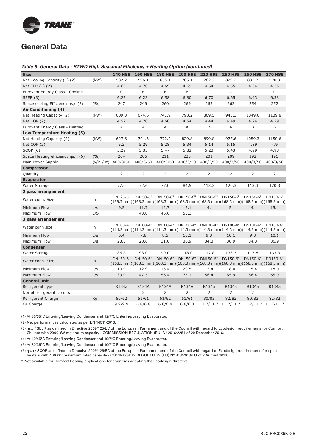

#### Table 8. General Data - RTWD High Seasonal Efficiency + Heating Option (continued)

| <b>Size</b>                        |           | <b>140 HSE</b> | <b>160 HSE</b> | <b>180 HSE</b> | <b>200 HSE</b>                                                                                                                                                          | <b>220 HSE</b> | <b>250 HSE</b>                          | <b>260 HSE</b>    | <b>270 HSE</b>                                                                                                                               |
|------------------------------------|-----------|----------------|----------------|----------------|-------------------------------------------------------------------------------------------------------------------------------------------------------------------------|----------------|-----------------------------------------|-------------------|----------------------------------------------------------------------------------------------------------------------------------------------|
| Net Cooling Capacity (1) (2)       | (kW)      | 532.7          | 596.1          | 655.1          | 705.1                                                                                                                                                                   | 762.2          | 829.2                                   | 892.7             | 970.9                                                                                                                                        |
| Net EER (1) (2)                    |           | 4.63           | 4.70           | 4.69           | 4.69                                                                                                                                                                    | 4.54           | 4.55                                    | 4.34              | 4.35                                                                                                                                         |
| Eurovent Energy Class - Cooling    |           | C              | B              | В              | B                                                                                                                                                                       | C              | C                                       | C                 | C                                                                                                                                            |
| <b>SEER (3)</b>                    |           | 6.25           | 6.23           | 6.58           | 6.80                                                                                                                                                                    | 6.70           | 6.65                                    | 6.43              | 6.38                                                                                                                                         |
| Space cooling Efficiency hs,c (3)  | (%)       | 247            | 246            | 260            | 269                                                                                                                                                                     | 265            | 263                                     | 254               | 252                                                                                                                                          |
| Air Conditioning (4)               |           |                |                |                |                                                                                                                                                                         |                |                                         |                   |                                                                                                                                              |
| Net Heating Capacity (2)           | (kW)      | 609.3          | 674.6          | 741.9          | 798.2                                                                                                                                                                   | 869.5          | 945.3                                   | 1049.6            | 1139.8                                                                                                                                       |
| Net COP (2)                        |           | 4.52           | 4.70           | 4.60           | 4.54                                                                                                                                                                    | 4.44           | 4.49                                    | 4.24              | 4.29                                                                                                                                         |
| Eurovent Energy Class - Heating    |           | Α              | Α              | Α              | Α                                                                                                                                                                       | B              | Α                                       | B                 | B                                                                                                                                            |
| Low Temperature Heating (5)        |           |                |                |                |                                                                                                                                                                         |                |                                         |                   |                                                                                                                                              |
| Net Heating Capacity (2)           | (kW)      | 627.6          | 701.6          | 772.2          | 829.8                                                                                                                                                                   | 899.8          | 977.6                                   | 1059.3            | 1150.6                                                                                                                                       |
| Net COP (2)                        |           | 5.2            | 5.29           | 5.28           | 5.34                                                                                                                                                                    | 5.14           | 5.15                                    | 4.89              | 4.9                                                                                                                                          |
| SCOP(6)                            |           | 5.29           | 5.35           | 5.47           | 5.82                                                                                                                                                                    | 5.23           | 5.43                                    | 4.99              | 4.98                                                                                                                                         |
| Space Heating efficiency ns, h (6) | (9/0)     | 204            | 206            | 211            | 225                                                                                                                                                                     | 201            | 209                                     | 192               | 191                                                                                                                                          |
| Main Power Supply                  | (V/PH/Hz) | 400/3/50       | 400/3/50       | 400/3/50       | 400/3/50                                                                                                                                                                | 400/3/50       | 400/3/50                                | 400/3/50          | 400/3/50                                                                                                                                     |
| <b>Compressor</b>                  |           |                |                |                |                                                                                                                                                                         |                |                                         |                   |                                                                                                                                              |
| Quantity                           |           | 2              | 2              | 2              | 2                                                                                                                                                                       | 2              | 2                                       | 2                 | 2                                                                                                                                            |
| <b>Evaporator</b>                  |           |                |                |                |                                                                                                                                                                         |                |                                         |                   |                                                                                                                                              |
| Water Storage                      | L         | 77.0           | 72.6           | 77.0           | 84.5                                                                                                                                                                    | 113.3          | 120.3                                   | 113.3             | 120.3                                                                                                                                        |
| 2 pass arrangement                 |           |                |                |                |                                                                                                                                                                         |                |                                         |                   |                                                                                                                                              |
| Water conn, Size                   | in        | DN125-5"       | DN150-6"       |                | DN150-6" DN150-6"                                                                                                                                                       | DN150-6"       |                                         | DN150-6" DN150-6" | DN150-6"<br>$(139.7 \text{ mm})(168.3 \text{ mm})(168.3 \text{ mm})(168.3 \text{ mm})(168.3 \text{ mm})(168.3 \text{ mm})(168.3 \text{ mm})$ |
| Minimum Flow                       | L/s       | 9.5            | 11.7           | 12.7           | 15.1                                                                                                                                                                    | 14.1           | 15.1                                    | 14.1              | 15.1                                                                                                                                         |
| Maximum Flow                       | L/S       |                | 43.0           | 46.6           | 55.3                                                                                                                                                                    |                |                                         |                   |                                                                                                                                              |
| 3 pass arrangement                 |           |                |                |                |                                                                                                                                                                         |                |                                         |                   |                                                                                                                                              |
| Water conn size                    | in        | DN100-4"       | DN100-4"       |                | DN100-4" DN100-4" DN100-4" DN100-4"<br>$(114.3 \text{ mm})(114.3 \text{ mm})(114.3 \text{ mm})(114.3 \text{ mm})(114.3 \text{ mm})(114.3 \text{ mm})(114.3 \text{ mm})$ |                |                                         | DN100-4"          | DN100-4"                                                                                                                                     |
| Minimum Flow                       | L/s       | 6.4            | 7.8            | 8.5            | 10.1                                                                                                                                                                    | 9.3            | 10.1                                    | 9.3               | 10.1                                                                                                                                         |
| Maximum Flow                       | L/s       | 23.3           | 28.6           | 31.0           | 36.9                                                                                                                                                                    | 34.3           | 36.9                                    | 34.3              | 36.9                                                                                                                                         |
| <b>Condenser</b>                   |           |                |                |                |                                                                                                                                                                         |                |                                         |                   |                                                                                                                                              |
| Water Storage                      | Г         | 86.8           | 93.0           | 99.0           | 118.0                                                                                                                                                                   | 117.8          | 133.3                                   | 117.8             | 133.3                                                                                                                                        |
| Water conn. Size                   | in        | DN150-6"       | DN150-6"       | DN150-6"       | DN150-6"<br>$(168.3 \text{ mm})(168.3 \text{ mm})(168.3 \text{ mm})(168.3 \text{ mm})(168.3 \text{ mm})(168.3 \text{ mm})(168.3 \text{ mm})(168.3 \text{ mm})$          | DN150-6"       | DN150-6"                                | DN150-6"          | DN150-6"                                                                                                                                     |
| Minimum Flow                       | L/s       | 10.9           | 12.9           | 15.4           | 20.5                                                                                                                                                                    | 15.4           | 18.0                                    | 15.4              | 18.0                                                                                                                                         |
| Maximum Flow                       | L/s       | 39.9           | 47.5           | 56.4           | 75.1                                                                                                                                                                    | 56.4           | 65.9                                    | 56.4              | 65.9                                                                                                                                         |
| <b>General Unit</b>                |           |                |                |                |                                                                                                                                                                         |                |                                         |                   |                                                                                                                                              |
| Refrigerant Type                   |           | R134a          | <b>R134A</b>   | <b>R134A</b>   | <b>R134A</b>                                                                                                                                                            | R134a          | R134a                                   | R134a             | R134a                                                                                                                                        |
| Nbr of refrigerant circuits        |           | 2              | $\overline{2}$ | $\overline{2}$ | $\overline{2}$                                                                                                                                                          | $\overline{2}$ | 2                                       | 2                 | 2                                                                                                                                            |
| Refrigerant Charge                 | Kg        | 60/62          | 61/61          | 61/62          | 61/61                                                                                                                                                                   | 80/83          | 82/82                                   | 80/83             | 82/82                                                                                                                                        |
| Oil Charge                         | L         | 9.9/9.9        | 6.8/6.8        | 6.8/6.8        | 6.8/6.8                                                                                                                                                                 |                | 11.7/11.7 11.7/11.7 11.7/11.7 11.7/11.7 |                   |                                                                                                                                              |

(1) At 30/35°C Entering/Leaving Condenser and 12/7°C Entering/Leaving Evaporator.

(2) Net performances calculated as per EN 14511-2013.

(3) ηs,c / SEER as defi ned in Directive 2009/125/EC of the European Parliament and of the Council with regard to Ecodesign requirements for Comfort Chillers with 2000 kW maximum capacity - COMMISSION REGULATION (EU) N° 2016/2281 of 20 December 2016.

(4) At 40/45°C Entering/Leaving Condenser and 10/7°C Entering/Leaving Evaporator.

(5) At 30/35°C Entering/Leaving Condenser and 10/7°C Entering/Leaving Evaporator.

(6) ηs,h / SCOP as defined in Directive 2009/125/EC of the European Parliament and of the Council with regard to Ecodesign requirements for space heaters with 400 kW maximum rated capacity - COMMISSION REGULATION (EU) N° 813/2013/EU of 2 August 2013.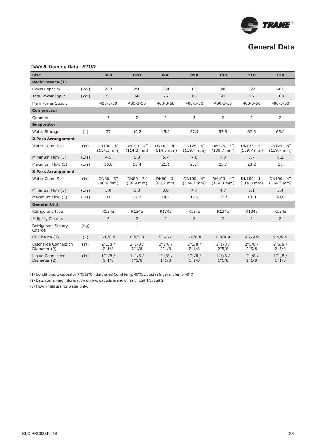

#### **Table 9. General Data - RTUD**

| <b>Size</b>                              |       | 060                                | 070                                   | 080                                   | 090                                   | 100                                   | 110                                   | 120                                   |
|------------------------------------------|-------|------------------------------------|---------------------------------------|---------------------------------------|---------------------------------------|---------------------------------------|---------------------------------------|---------------------------------------|
| Performance (1)                          |       |                                    |                                       |                                       |                                       |                                       |                                       |                                       |
| <b>Gross Capacity</b>                    | (kW)  | 209                                | 250                                   | 284                                   | 323                                   | 346                                   | 372                                   | 401                                   |
| <b>Total Power Input</b>                 | (kW)  | 55                                 | 66                                    | 75                                    | 85                                    | 91                                    | 96                                    | 103                                   |
| Main Power Supply                        |       | $400 - 3 - 50$                     | $400 - 3 - 50$                        | $400 - 3 - 50$                        | $400 - 3 - 50$                        | $400 - 3 - 50$                        | $400 - 3 - 50$                        | $400 - 3 - 50$                        |
| <b>Compressor</b>                        |       |                                    |                                       |                                       |                                       |                                       |                                       |                                       |
| Quantity                                 |       | $\overline{2}$                     | 2                                     | $\overline{2}$                        | $\overline{2}$                        | 2                                     | 2                                     | $\overline{2}$                        |
| <b>Evaporator</b>                        |       |                                    |                                       |                                       |                                       |                                       |                                       |                                       |
| Water Storage                            | (L)   | 37                                 | 40.2                                  | 45.2                                  | 57.9                                  | 57.9                                  | 62.3                                  | 65.4                                  |
| 2 Pass Arrangement                       |       |                                    |                                       |                                       |                                       |                                       |                                       |                                       |
| Water Conn. Size                         | (in)  | DN100 - 4"<br>$(114.3 \text{ mm})$ | $DN100 - 4"$<br>$(114.3 \text{ mm})$  | $DN100 - 4"$<br>$(114.3 \text{ mm})$  | $DN125 - 5''$<br>$(139.7 \text{ mm})$ | $DN125 - 5''$<br>$(139.7 \text{ mm})$ | $DN125 - 5''$<br>$(139.7 \text{ mm})$ | $DN125 - 5''$<br>$(139.7 \text{ mm})$ |
| Minimum Flow (3)                         | (L/s) | 4.5                                | 5.0                                   | 5.7                                   | 7.0                                   | 7.0                                   | 7.7                                   | 8.2                                   |
| Maximum Flow (3)                         | (L/s) | 16.6                               | 18.4                                  | 21.1                                  | 25.7                                  | 25.7                                  | 28.2                                  | 30                                    |
| <b>3 Pass Arrangement</b>                |       |                                    |                                       |                                       |                                       |                                       |                                       |                                       |
| Water Conn, Size                         | (in)  | $DN80 - 3''$<br>$(88.9$ mm)        | $DN80 - 3''$<br>$(88.9 \, \text{mm})$ | $DN80 - 3''$<br>$(88.9 \, \text{mm})$ | $DN100 - 4"$<br>$(114.3 \text{ mm})$  | $DN100 - 4"$<br>$(114.3 \text{ mm})$  | $DN100 - 4"$<br>$(114.3 \text{ mm})$  | $DN100 - 4"$<br>$(114.3 \text{ mm})$  |
| Minimum Flow (3)                         | (L/s) | 3.0                                | 3.3                                   | 3.8                                   | 4.7                                   | 4.7                                   | 5.1                                   | 5.4                                   |
| Maximum Flow (3)                         | (L/s) | 11                                 | 12.2                                  | 14.1                                  | 17.2                                  | 17.2                                  | 18.8                                  | 20.0                                  |
| <b>General Unit</b>                      |       |                                    |                                       |                                       |                                       |                                       |                                       |                                       |
| Refrigerant Type                         |       | R134a                              | R134a                                 | R134a                                 | R134a                                 | R134a                                 | R134a                                 | R134a                                 |
| # Refrig Circuits                        |       | $\overline{2}$                     | $\overline{2}$                        | $\overline{2}$                        | $\overline{2}$                        | $\overline{2}$                        | $\overline{2}$                        | $\overline{2}$                        |
| Refrigerant Factory<br>Charge            | (kq)  | $\overline{\phantom{a}}$           | $\overline{\phantom{a}}$              | $\overline{\phantom{a}}$              | ÷,                                    | $\sim$                                |                                       | $\overline{\phantom{a}}$              |
| Oil Charge (2)                           | (L)   | 6.8/6.8                            | 6.8/6.8                               | 6.8/6.8                               | 6.8/6.8                               | 6.8/9.9                               | 9.9/9.9                               | 9.9/9.9                               |
| Discharge Connection<br>Diameter (2)     | (in)  | 2''1/8/<br>2''1/8                  | 2''1/8/<br>2''1/8                     | 2''1/8/<br>2''1/8                     | 2''1/8/<br>2''1/8                     | 2''1/8/<br>2''5/8                     | 2''5/8/<br>2''5/8                     | 2''5/8/<br>2''5/8                     |
| <b>Liquid Connection</b><br>Diameter (2) | (in)  | 1''1/8/<br>1''1/8                  | 1''1/8/<br>1''1/8                     | 1''1/8/<br>1''1/8                     | 1''1/8/<br>1''1/8                     | 1''1/8/<br>1''1/8                     | 1''1/8/<br>1''1/8                     | 1''1/8/<br>1''1/8                     |

(1) Conditions: Evaporator 7°C/12°C - Saturated Cond Temp 45°C/Liquid refrigerant Temp 40°C

(2) Data containing information on two circuits is shown as circuit 1/circuit 2.

(3) Flow limits are for water only.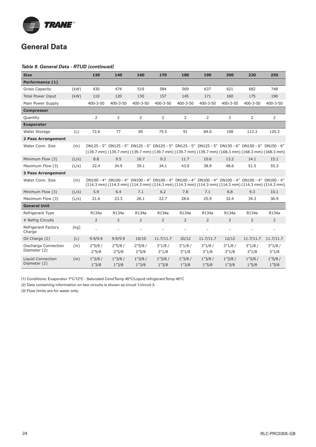

#### **Table 9. General Data - RTUD (continued)**

| <b>Size</b>                          |       | 130               | 140                      | 160                              | 170               | 180                      | 190                                                                                                | 200                      | 220               | 250                                                                                                                                                                                                               |
|--------------------------------------|-------|-------------------|--------------------------|----------------------------------|-------------------|--------------------------|----------------------------------------------------------------------------------------------------|--------------------------|-------------------|-------------------------------------------------------------------------------------------------------------------------------------------------------------------------------------------------------------------|
| Performance (1)                      |       |                   |                          |                                  |                   |                          |                                                                                                    |                          |                   |                                                                                                                                                                                                                   |
| <b>Gross Capacity</b>                | (kW)  | 430               | 474                      | 519                              | 584               | 569                      | 637                                                                                                | 621                      | 682               | 748                                                                                                                                                                                                               |
| <b>Total Power Input</b>             | (kW)  | 110               | 120                      | 130                              | 157               | 145                      | 171                                                                                                | 160                      | 175               | 190                                                                                                                                                                                                               |
| Main Power Supply                    |       | $400 - 3 - 50$    | $400 - 3 - 50$           | $400 - 3 - 50$                   | 400-3-50          | $400 - 3 - 50$           | $400 - 3 - 50$                                                                                     | $400 - 3 - 50$           | $400 - 3 - 50$    | $400 - 3 - 50$                                                                                                                                                                                                    |
| <b>Compressor</b>                    |       |                   |                          |                                  |                   |                          |                                                                                                    |                          |                   |                                                                                                                                                                                                                   |
| Quantity                             |       | $\overline{2}$    | $\overline{2}$           | $\overline{2}$                   | $\overline{2}$    | 2                        | $\overline{2}$                                                                                     | $\overline{2}$           | $\overline{2}$    | $\overline{2}$                                                                                                                                                                                                    |
| <b>Evaporator</b>                    |       |                   |                          |                                  |                   |                          |                                                                                                    |                          |                   |                                                                                                                                                                                                                   |
| Water Storage                        | (L)   | 72.6              | 77                       | 85                               | 75.5              | 91                       | 84.0                                                                                               | 108                      | 113.3             | 120.3                                                                                                                                                                                                             |
| <b>2 Pass Arrangement</b>            |       |                   |                          |                                  |                   |                          |                                                                                                    |                          |                   |                                                                                                                                                                                                                   |
| Water Conn, Size                     | (in)  |                   |                          |                                  |                   |                          | DN125 - 5" DN125 - 5" DN125 - 5" DN125 - 5" DN125 - 5" DN125 - 5" DN150 - 6" DN150 - 6" DN150 - 6" |                          |                   | $(139.7 \text{ mm})$ $(139.7 \text{ mm})$ $(139.7 \text{ mm})$ $(139.7 \text{ mm})$ $(139.7 \text{ mm})$ $(139.7 \text{ mm})$ $(168.3 \text{ mm})$ $(168.3 \text{ mm})$ $(168.3 \text{ mm})$ $(168.3 \text{ mm})$ |
| Minimum Flow (3)                     | (L/s) | 8.8               | 9.5                      | 10.7                             | 9.3               | 11.7                     | 10.6                                                                                               | 13.2                     | 14.1              | 15.1                                                                                                                                                                                                              |
| Maximum Flow (3)                     | (L/s) | 32.4              | 34.9                     | 39.1                             | 34.1              | 43.0                     | 38.9                                                                                               | 48.6                     | 51.5              | 55.3                                                                                                                                                                                                              |
| <b>3 Pass Arrangement</b>            |       |                   |                          |                                  |                   |                          |                                                                                                    |                          |                   |                                                                                                                                                                                                                   |
| Water Conn, Size                     | (in)  |                   |                          |                                  |                   |                          | DN100 - 4" DN100 - 4" DN100 - 4" DN100 - 4" DN100 - 4" DN100 - 4" DN100 - 4" DN100 - 4" DN100 - 4" |                          |                   | $(114.3 \text{ mm}) (114.3 \text{ mm}) (114.3 \text{ mm}) (114.3 \text{ mm}) (114.3 \text{ mm}) (114.3 \text{ mm}) (114.3 \text{ mm}) (114.3 \text{ mm})$                                                         |
| Minimum Flow (3)                     | (L/s) | 5.9               | 6.4                      | 7.1                              | 6.2               | 7.8                      | 7.1                                                                                                | 8.8                      | 9.3               | 10.1                                                                                                                                                                                                              |
| Maximum Flow (3)                     | (L/s) | 21.6              | 23.3                     | 26.1                             | 22.7              | 28.6                     | 25.9                                                                                               | 32.4                     | 34.3              | 36.9                                                                                                                                                                                                              |
| <b>General Unit</b>                  |       |                   |                          |                                  |                   |                          |                                                                                                    |                          |                   |                                                                                                                                                                                                                   |
| Refrigerant Type                     |       | R134a             | R134a                    | R134a                            | R134a             | R134a                    | R134a                                                                                              | R134a                    | R134a             | R134a                                                                                                                                                                                                             |
| # Refrig Circuits                    |       | $\overline{2}$    | $\overline{2}$           | $\overline{2}$                   | $\overline{2}$    | 2                        | 2                                                                                                  | $\overline{2}$           | $\overline{2}$    | $\overline{2}$                                                                                                                                                                                                    |
| Refrigerant Factory<br>Charge        | (kg)  | $\overline{a}$    | $\overline{\phantom{a}}$ | ä,                               |                   | $\overline{\phantom{a}}$ |                                                                                                    | $\overline{\phantom{a}}$ | ä,                | ÷,                                                                                                                                                                                                                |
| Oil Charge (2)                       | (L)   | 9.9/9.9           | 9.9/9.9                  | 10/10                            | 11.7/11.7         | 10/12                    | 11.7/11.7                                                                                          | 12/12                    | 11.7/11.7         | 11.7/11.7                                                                                                                                                                                                         |
| Discharge Connection<br>Diameter (2) | (in)  | 2''5/8/<br>2''5/8 | 2''5/8/<br>2''5/8        | 2''5/8/<br>$2^{\prime\prime}5/8$ | 3''1/8/<br>3''1/8 | 3''1/8/<br>3''1/8        | 3''1/8/<br>3''1/8                                                                                  | 3''1/8/<br>3''1/8        | 3''1/8/<br>3''1/8 | 3''1/8/<br>3''1/8                                                                                                                                                                                                 |
| Liquid Connection<br>Diameter (2)    | (in)  | 1''3/8/<br>1''3/8 | 1''3/8/<br>1''3/8        | 1''3/8/<br>1''3/8                | 1''3/8/<br>1''3/8 | 1''3/8/<br>1''3/8        | 1''3/8/<br>1''5/8                                                                                  | 1''3/8/<br>1''3/8        | 1''3/8/<br>1''5/8 | $1^{\prime\prime}5/8/$<br>1''5/8                                                                                                                                                                                  |

(1) Conditions: Evaporator 7°C/12°C - Saturated Cond Temp 45°C/Liquid refrigerant Temp 40°C

(2) Data containing information on two circuits is shown as circuit 1/circuit 2.

(3) Flow limits are for water only.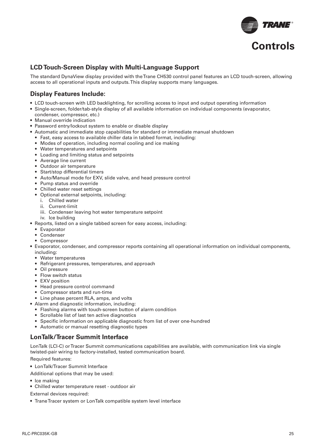

### **LCD Touch-Screen Display with Multi-Language Support**

The standard DynaView display provided with the Trane CH530 control panel features an LCD touch-screen, allowing access to all operational inputs and outputs. This display supports many languages.

### **Display Features Include:**

- LCD touch-screen with LED backlighting, for scrolling access to input and output operating information
- Single-screen, folder/tab-style display of all available information on individual components (evaporator,
- condenser, compressor, etc.)
- Manual override indication
- Password entry/lockout system to enable or disable display
- Automatic and immediate stop capabilities for standard or immediate manual shutdown
	- Fast, easy access to available chiller data in tabbed format, including:
	- Modes of operation, including normal cooling and ice making
	- Water temperatures and setpoints
	- Loading and limiting status and setpoints
	- Average line current
	- Outdoor air temperature
	- Start/stop differential timers
	- Auto/Manual mode for EXV, slide valve, and head pressure control
	- Pump status and override
	- Chilled water reset settings
	- Optional external setpoints, including:
		- i. Chilled water
		- ii. Current-limit
		- iii. Condenser leaving hot water temperature setpoint
		- iv. Ice building
- Reports, listed on a single tabbed screen for easy access, including:
	- Evaporator
	- Condenser
	- Compressor
- Evaporator, condenser, and compressor reports containing all operational information on individual components, including:
	- Water temperatures
	- Refrigerant pressures, temperatures, and approach
	- Oil pressure
	- Flow switch status
	- EXV position
	- Head pressure control command
	- Compressor starts and run-time
	- Line phase percent RLA, amps, and volts
- Alarm and diagnostic information, including:
	- Flashing alarms with touch-screen button of alarm condition
	- Scrollable list of last ten active diagnostics
	- Specific information on applicable diagnostic from list of over one-hundred
	- Automatic or manual resetting diagnostic types

### **LonTalk/Tracer Summit Interface**

LonTalk (LCI-C) or Tracer Summit communications capabilities are available, with communication link via single twisted-pair wiring to factory-installed, tested communication board.

Required features:

- LonTalk/Tracer Summit Interface
- Additional options that may be used:
- Ice making
- Chilled water temperature reset outdoor air

External devices required:

• Trane Tracer system or LonTalk compatible system level interface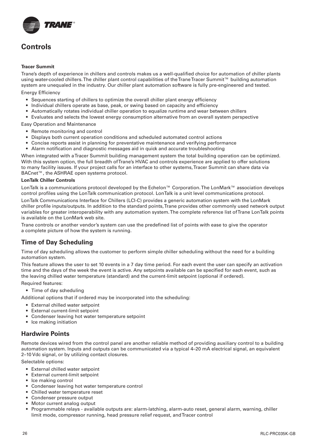

## **Controls**

#### **Tracer Summit**

Trane's depth of experience in chillers and controls makes us a well-qualified choice for automation of chiller plants using water-cooled chillers. The chiller plant control capabilities of the Trane Tracer Summit™ building automation system are unequaled in the industry. Our chiller plant automation software is fully pre-engineered and tested. Energy Efficiency

- Sequences starting of chillers to optimize the overall chiller plant energy efficiency
- Individual chillers operate as base, peak, or swing based on capacity and efficiency
- Automatically rotates individual chiller operation to equalize runtime and wear between chillers
- Evaluates and selects the lowest energy consumption alternative from an overall system perspective

Easy Operation and Maintenance

- Remote monitoring and control
- Displays both current operation conditions and scheduled automated control actions
- Concise reports assist in planning for preventative maintenance and verifying performance
- Alarm notification and diagnostic messages aid in quick and accurate troubleshooting

When integrated with a Tracer Summit building management system the total building operation can be optimized. With this system option, the full breadth of Trane's HVAC and controls experience are applied to offer solutions to many facility issues. If your project calls for an interface to other systems, Tracer Summit can share data via BACnet™, the ASHRAE open systems protocol.

#### **LonTalk Chiller Controls**

LonTalk is a communications protocol developed by the Echelon™ Corporation. The LonMark™ association develops control profiles using the LonTalk communication protocol. LonTalk is a unit level communications protocol.

LonTalk Communications Interface for Chillers (LCI-C) provides a generic automation system with the LonMark chiller profile inputs/outputs. In addition to the standard points, Trane provides other commonly used network output variables for greater interoperability with any automation system. The complete reference list of Trane LonTalk points is available on the LonMark web site.

Trane controls or another vendor's system can use the predefined list of points with ease to give the operator a complete picture of how the system is running.

### **Time of Day Scheduling**

Time of day scheduling allows the customer to perform simple chiller scheduling without the need for a building automation system.

This feature allows the user to set 10 events in a 7 day time period. For each event the user can specify an activation time and the days of the week the event is active. Any setpoints available can be specified for each event, such as the leaving chilled water temperature (standard) and the current-limit setpoint (optional if ordered).

Required features:

• Time of day scheduling

Additional options that if ordered may be incorporated into the scheduling:

- External chilled water setpoint
- External current-limit setpoint
- Condenser leaving hot water temperature setpoint
- Ice making initiation

#### **Hardwire Points**

Remote devices wired from the control panel are another reliable method of providing auxiliary control to a building automation system. Inputs and outputs can be communicated via a typical 4–20 mA electrical signal, an equivalent 2–10 Vdc signal, or by utilizing contact closures.

Selectable options:

- External chilled water setpoint
- External current-limit setpoint
- Ice making control
- Condenser leaving hot water temperature control
- Chilled water temperature reset
- Condenser pressure output
- Motor current analog output
- Programmable relays available outputs are: alarm-latching, alarm-auto reset, general alarm, warning, chiller limit mode, compressor running, head pressure relief request, and Tracer control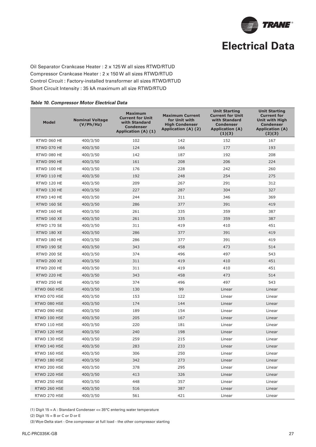

Oil Separator Crankcase Heater : 2 x 125 W all sizes RTWD/RTUD Compressor Crankcase Heater : 2 x 150 W all sizes RTWD/RTUD Control Circuit : Factory-installed transformer all sizes RTWD/RTUD Short Circuit Intensity : 35 kA maximum all size RTWD/RTUD

#### **Table 10. Compressor Motor Electrical Data**

| <b>Model</b>       | <b>Nominal Voltage</b><br>(V/Ph/Hz) | <b>Maximum</b><br><b>Current for Unit</b><br>with Standard<br><b>Condenser</b><br>Application (A) (1) | <b>Maximum Current</b><br>for Unit with<br><b>High Condenser</b><br>Application (A) (2) | <b>Unit Starting</b><br><b>Current for Unit</b><br>with Standard<br><b>Condenser</b><br><b>Application (A)</b><br>(1)(3) | <b>Unit Starting</b><br><b>Current for</b><br><b>Unit with High</b><br><b>Condenser</b><br><b>Application (A)</b><br>(2)(3) |
|--------------------|-------------------------------------|-------------------------------------------------------------------------------------------------------|-----------------------------------------------------------------------------------------|--------------------------------------------------------------------------------------------------------------------------|-----------------------------------------------------------------------------------------------------------------------------|
| RTWD 060 HE        | 400/3/50                            | 102                                                                                                   | 142                                                                                     | 152                                                                                                                      | 167                                                                                                                         |
| RTWD 070 HE        | 400/3/50                            | 124                                                                                                   | 166                                                                                     | 177                                                                                                                      | 193                                                                                                                         |
| RTWD 080 HE        | 400/3/50                            | 142                                                                                                   | 187                                                                                     | 192                                                                                                                      | 208                                                                                                                         |
| RTWD 090 HE        | 400/3/50                            | 161                                                                                                   | 208                                                                                     | 206                                                                                                                      | 224                                                                                                                         |
| RTWD 100 HE        | 400/3/50                            | 176                                                                                                   | 228                                                                                     | 242                                                                                                                      | 260                                                                                                                         |
| RTWD 110 HE        | 400/3/50                            | 192                                                                                                   | 248                                                                                     | 254                                                                                                                      | 275                                                                                                                         |
| RTWD 120 HE        | 400/3/50                            | 209                                                                                                   | 267                                                                                     | 291                                                                                                                      | 312                                                                                                                         |
| RTWD 130 HE        | 400/3/50                            | 227                                                                                                   | 287                                                                                     | 304                                                                                                                      | 327                                                                                                                         |
| RTWD 140 HE        | 400/3/50                            | 244                                                                                                   | 311                                                                                     | 346                                                                                                                      | 369                                                                                                                         |
| RTWD 160 SE        | 400/3/50                            | 286                                                                                                   | 377                                                                                     | 391                                                                                                                      | 419                                                                                                                         |
| RTWD 160 HE        | 400/3/50                            | 261                                                                                                   | 335                                                                                     | 359                                                                                                                      | 387                                                                                                                         |
| <b>RTWD 160 XE</b> | 400/3/50                            | 261                                                                                                   | 335                                                                                     | 359                                                                                                                      | 387                                                                                                                         |
| <b>RTWD 170 SE</b> | 400/3/50                            | 311                                                                                                   | 419                                                                                     | 410                                                                                                                      | 451                                                                                                                         |
| RTWD 180 XE        | 400/3/50                            | 286                                                                                                   | 377                                                                                     | 391                                                                                                                      | 419                                                                                                                         |
| RTWD 180 HE        | 400/3/50                            | 286                                                                                                   | 377                                                                                     | 391                                                                                                                      | 419                                                                                                                         |
| RTWD 190 SE        | 400/3/50                            | 343                                                                                                   | 458                                                                                     | 473                                                                                                                      | 514                                                                                                                         |
| <b>RTWD 200 SE</b> | 400/3/50                            | 374                                                                                                   | 496                                                                                     | 497                                                                                                                      | 543                                                                                                                         |
| RTWD 200 XE        | 400/3/50                            | 311                                                                                                   | 419                                                                                     | 410                                                                                                                      | 451                                                                                                                         |
| RTWD 200 HE        | 400/3/50                            | 311                                                                                                   | 419                                                                                     | 410                                                                                                                      | 451                                                                                                                         |
| RTWD 220 HE        | 400/3/50                            | 343                                                                                                   | 458                                                                                     | 473                                                                                                                      | 514                                                                                                                         |
| RTWD 250 HE        | 400/3/50                            | 374                                                                                                   | 496                                                                                     | 497                                                                                                                      | 543                                                                                                                         |
| RTWD 060 HSE       | 400/3/50                            | 130                                                                                                   | 99                                                                                      | Linear                                                                                                                   | Linear                                                                                                                      |
| RTWD 070 HSE       | 400/3/50                            | 153                                                                                                   | 122                                                                                     | Linear                                                                                                                   | Linear                                                                                                                      |
| RTWD 080 HSE       | 400/3/50                            | 174                                                                                                   | 144                                                                                     | Linear                                                                                                                   | Linear                                                                                                                      |
| RTWD 090 HSE       | 400/3/50                            | 189                                                                                                   | 154                                                                                     | Linear                                                                                                                   | Linear                                                                                                                      |
| RTWD 100 HSE       | 400/3/50                            | 205                                                                                                   | 167                                                                                     | Linear                                                                                                                   | Linear                                                                                                                      |
| RTWD 110 HSE       | 400/3/50                            | 220                                                                                                   | 181                                                                                     | Linear                                                                                                                   | Linear                                                                                                                      |
| RTWD 120 HSE       | 400/3/50                            | 240                                                                                                   | 198                                                                                     | Linear                                                                                                                   | Linear                                                                                                                      |
| RTWD 130 HSE       | 400/3/50                            | 259                                                                                                   | 215                                                                                     | Linear                                                                                                                   | Linear                                                                                                                      |
| RTWD 140 HSE       | 400/3/50                            | 283                                                                                                   | 233                                                                                     | Linear                                                                                                                   | Linear                                                                                                                      |
| RTWD 160 HSE       | 400/3/50                            | 306                                                                                                   | 250                                                                                     | Linear                                                                                                                   | Linear                                                                                                                      |
| RTWD 180 HSE       | 400/3/50                            | 342                                                                                                   | 273                                                                                     | Linear                                                                                                                   | Linear                                                                                                                      |
| RTWD 200 HSE       | 400/3/50                            | 378                                                                                                   | 295                                                                                     | Linear                                                                                                                   | Linear                                                                                                                      |
| RTWD 220 HSE       | 400/3/50                            | 413                                                                                                   | 326                                                                                     | Linear                                                                                                                   | Linear                                                                                                                      |
| RTWD 250 HSE       | 400/3/50                            | 448                                                                                                   | 357                                                                                     | Linear                                                                                                                   | Linear                                                                                                                      |
| RTWD 260 HSE       | 400/3/50                            | 516                                                                                                   | 387                                                                                     | Linear                                                                                                                   | Linear                                                                                                                      |
| RTWD 270 HSE       | 400/3/50                            | 561                                                                                                   | 421                                                                                     | Linear                                                                                                                   | Linear                                                                                                                      |

(1) Digit 15 = A : Standard Condenser <= 35°C entering water temperature

(3) Wye-Delta start - One compressor at full load - the other compressor starting

<sup>(2)</sup> Digit  $15 = B$  or C or D or E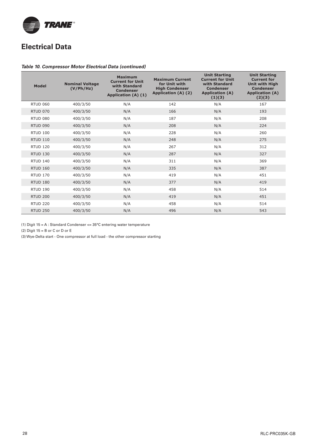

# **Electrical Data**

#### **Table 10. Compressor Motor Electrical Data (continued)**

| <b>Model</b>    | <b>Nominal Voltage</b><br>(V/Ph/Hz) | <b>Maximum</b><br><b>Current for Unit</b><br>with Standard<br><b>Condenser</b><br>Application (A) (1) | <b>Maximum Current</b><br>for Unit with<br><b>High Condenser</b><br>Application (A) (2) | <b>Unit Starting</b><br><b>Current for Unit</b><br>with Standard<br><b>Condenser</b><br><b>Application (A)</b><br>(1)(3) | <b>Unit Starting</b><br><b>Current for</b><br><b>Unit with High</b><br><b>Condenser</b><br><b>Application (A)</b><br>(2)(3) |
|-----------------|-------------------------------------|-------------------------------------------------------------------------------------------------------|-----------------------------------------------------------------------------------------|--------------------------------------------------------------------------------------------------------------------------|-----------------------------------------------------------------------------------------------------------------------------|
| <b>RTUD 060</b> | 400/3/50                            | N/A                                                                                                   | 142                                                                                     | N/A                                                                                                                      | 167                                                                                                                         |
| <b>RTUD 070</b> | 400/3/50                            | N/A                                                                                                   | 166                                                                                     | N/A                                                                                                                      | 193                                                                                                                         |
| <b>RTUD 080</b> | 400/3/50                            | N/A                                                                                                   | 187                                                                                     | N/A                                                                                                                      | 208                                                                                                                         |
| <b>RTUD 090</b> | 400/3/50                            | N/A                                                                                                   | 208                                                                                     | N/A                                                                                                                      | 224                                                                                                                         |
| <b>RTUD 100</b> | 400/3/50                            | N/A                                                                                                   | 228                                                                                     | N/A                                                                                                                      | 260                                                                                                                         |
| <b>RTUD 110</b> | 400/3/50                            | N/A                                                                                                   | 248                                                                                     | N/A                                                                                                                      | 275                                                                                                                         |
| <b>RTUD 120</b> | 400/3/50                            | N/A                                                                                                   | 267                                                                                     | N/A                                                                                                                      | 312                                                                                                                         |
| <b>RTUD 130</b> | 400/3/50                            | N/A                                                                                                   | 287                                                                                     | N/A                                                                                                                      | 327                                                                                                                         |
| <b>RTUD 140</b> | 400/3/50                            | N/A                                                                                                   | 311                                                                                     | N/A                                                                                                                      | 369                                                                                                                         |
| <b>RTUD 160</b> | 400/3/50                            | N/A                                                                                                   | 335                                                                                     | N/A                                                                                                                      | 387                                                                                                                         |
| <b>RTUD 170</b> | 400/3/50                            | N/A                                                                                                   | 419                                                                                     | N/A                                                                                                                      | 451                                                                                                                         |
| <b>RTUD 180</b> | 400/3/50                            | N/A                                                                                                   | 377                                                                                     | N/A                                                                                                                      | 419                                                                                                                         |
| <b>RTUD 190</b> | 400/3/50                            | N/A                                                                                                   | 458                                                                                     | N/A                                                                                                                      | 514                                                                                                                         |
| <b>RTUD 200</b> | 400/3/50                            | N/A                                                                                                   | 419                                                                                     | N/A                                                                                                                      | 451                                                                                                                         |
| <b>RTUD 220</b> | 400/3/50                            | N/A                                                                                                   | 458                                                                                     | N/A                                                                                                                      | 514                                                                                                                         |
| <b>RTUD 250</b> | 400/3/50                            | N/A                                                                                                   | 496                                                                                     | N/A                                                                                                                      | 543                                                                                                                         |

(1) Digit 15 = A : Standard Condenser <= 35°C entering water temperature

(2) Digit  $15 = B$  or C or D or E

(3) Wye-Delta start - One compressor at full load - the other compressor starting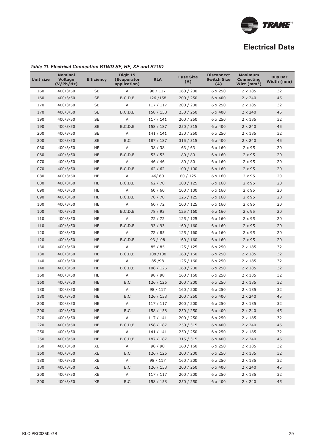

# **Electrical Data**

| <b>Unit size</b> | <b>Nominal</b><br><b>Voltage</b><br>(V/Ph/Hz) | <b>Efficiency</b> | Digit 15<br>(Evaporator<br>application) | <b>RLA</b> | <b>Fuse Size</b><br>(A) | <b>Disconnect</b><br><b>Switch Size</b><br>(A) | <b>Maximum</b><br><b>Connecting</b><br>Wire $(mm2)$ | <b>Bus Bar</b><br>Width (mm) |
|------------------|-----------------------------------------------|-------------------|-----------------------------------------|------------|-------------------------|------------------------------------------------|-----------------------------------------------------|------------------------------|
| 160              | 400/3/50                                      | <b>SE</b>         | Α                                       | 98 / 117   | 160 / 200               | 6 x 250                                        | $2 \times 185$                                      | 32                           |
| 160              | 400/3/50                                      | <b>SE</b>         | B, C, D, E                              | 126/158    | 200 / 250               | $6 \times 400$                                 | $2 \times 240$                                      | 45                           |
| 170              | 400/3/50                                      | <b>SE</b>         | Α                                       | 117 / 117  | 200 / 200               | $6 \times 250$                                 | $2 \times 185$                                      | 32                           |
| 170              | 400/3/50                                      | <b>SE</b>         | B, C, D, E                              | 158 / 158  | 250 / 250               | $6 \times 400$                                 | $2 \times 240$                                      | 45                           |
| 190              | 400/3/50                                      | <b>SE</b>         | Α                                       | 117 / 141  | 200 / 250               | $6 \times 250$                                 | $2 \times 185$                                      | 32                           |
| 190              | 400/3/50                                      | <b>SE</b>         | B, C, D, E                              | 158 / 187  | 250 / 315               | 6 x 400                                        | $2 \times 240$                                      | 45                           |
| 200              | 400/3/50                                      | <b>SE</b>         | Α                                       | 141/141    | 250 / 250               | $6 \times 250$                                 | $2 \times 185$                                      | 32                           |
| 200              | 400/3/50                                      | <b>SE</b>         | B,C                                     | 187 / 187  | 315 / 315               | $6 \times 400$                                 | $2 \times 240$                                      | 45                           |
| 060              | 400/3/50                                      | HE                | Α                                       | 38/38      | 63/63                   | $6 \times 160$                                 | $2 \times 95$                                       | 20                           |
| 060              | 400/3/50                                      | HE                | B, C, D, E                              | 53/53      | 80 / 80                 | $6 \times 160$                                 | $2 \times 95$                                       | 20                           |
| 070              | 400/3/50                                      | HE                | Α                                       | 46 / 46    | 80 / 80                 | $6 \times 160$                                 | 2 x 95                                              | 20                           |
| 070              | 400/3/50                                      | HE                | B, C, D, E                              | 62/62      | 100 / 100               | $6 \times 160$                                 | $2 \times 95$                                       | 20                           |
| 080              | 400/3/50                                      | HE                | Α                                       | 46/60      | 80 / 125                | $6 \times 160$                                 | $2 \times 95$                                       | 20                           |
| 080              | 400/3/50                                      | HE                | B, C, D, E                              | 62/78      | 100 / 125               | $6 \times 160$                                 | $2 \times 95$                                       | 20                           |
| 090              | 400/3/50                                      | <b>HE</b>         | Α                                       | 60/60      | 100 / 100               | $6 \times 160$                                 | $2 \times 95$                                       | 20                           |
| 090              | 400/3/50                                      | HE                | B, C, D, E                              | 78 / 78    | 125/125                 | $6 \times 160$                                 | $2 \times 95$                                       | 20                           |
| 100              | 400/3/50                                      | HE                | Α                                       | 60 / 72    | 100 / 125               | $6 \times 160$                                 | $2 \times 95$                                       | 20                           |
| 100              | 400/3/50                                      | <b>HE</b>         | B, C, D, E                              | 78 / 93    | 125/160                 | $6 \times 160$                                 | $2 \times 95$                                       | 20                           |
| 110              | 400/3/50                                      | HE                | Α                                       | 72/72      | 125 / 125               | $6 \times 160$                                 | $2 \times 95$                                       | 20                           |
| 110              | 400/3/50                                      | <b>HE</b>         | B, C, D, E                              | 93/93      | 160/160                 | $6 \times 160$                                 | $2 \times 95$                                       | 20                           |
| 120              | 400/3/50                                      | HE                | Α                                       | 72 / 85    | 125 / 160               | $6 \times 160$                                 | $2 \times 95$                                       | 20                           |
| 120              | 400/3/50                                      | HE                | B, C, D, E                              | 93/108     | 160 / 160               | $6 \times 160$                                 | $2 \times 95$                                       | 20                           |
| 130              | 400/3/50                                      | HE                | Α                                       | 85 / 85    | 125 / 125               | $6 \times 250$                                 | $2 \times 185$                                      | 32                           |
| 130              | 400/3/50                                      | HE                | B, C, D, E                              | 108/108    | 160 / 160               | $6 \times 250$                                 | $2 \times 185$                                      | 32                           |
| 140              | 400/3/50                                      | HE                | Α                                       | 85/98      | 125/160                 | $6 \times 250$                                 | $2 \times 185$                                      | 32                           |
| 140              | 400/3/50                                      | <b>HE</b>         | B, C, D, E                              | 108 / 126  | 160 / 200               | $6 \times 250$                                 | $2 \times 185$                                      | 32                           |
| 160              | 400/3/50                                      | HE                | Α                                       | 98 / 98    | 160/160                 | $6 \times 250$                                 | $2 \times 185$                                      | 32                           |
| 160              | 400/3/50                                      | HE                | B,C                                     | 126 / 126  | 200 / 200               | $6 \times 250$                                 | $2 \times 185$                                      | 32                           |
| 180              | 400/3/50                                      | HE                | Α                                       | 98 / 117   | 160 / 200               | $6 \times 250$                                 | $2 \times 185$                                      | 32                           |
| 180              | 400/3/50                                      | HE                | B,C                                     | 126 / 158  | 200 / 250               | $6 \times 400$                                 | $2 \times 240$                                      | 45                           |
| 200              | 400/3/50                                      | HE                | Α                                       | 117 / 117  | 200 / 200               | $6 \times 250$                                 | $2 \times 185$                                      | 32                           |
| 200              | 400/3/50                                      | HE                | B,C                                     | 158 / 158  | 250 / 250               | $6 \times 400$                                 | $2 \times 240$                                      | 45                           |
| 220              | 400/3/50                                      | HE                | A                                       | 117 / 141  | 200 / 250               | $6 \times 250$                                 | $2 \times 185$                                      | 32                           |
| 220              | 400/3/50                                      | HE                | B, C, D, E                              | 158 / 187  | 250 / 315               | $6 \times 400$                                 | $2 \times 240$                                      | 45                           |
| 250              | 400/3/50                                      | <b>HE</b>         | A                                       | 141/141    | 250 / 250               | $6\times250$                                   | $2 \times 185$                                      | 32                           |
| 250              | 400/3/50                                      | HE                | B, C, D, E                              | 187 / 187  | 315 / 315               | 6 x 400                                        | $2 \times 240$                                      | 45                           |
| 160              | 400/3/50                                      | XE                | A                                       | 98 / 98    | 160 / 160               | $6 \times 250$                                 | $2 \times 185$                                      | 32                           |
| 160              | 400/3/50                                      | XE                | B,C                                     | 126/126    | 200 / 200               | 6 x 250                                        | $2 \times 185$                                      | 32                           |
| 180              | 400/3/50                                      | XE                | A                                       | 98 / 117   | 160 / 200               | 6 x 250                                        | $2 \times 185$                                      | 32                           |
| 180              | 400/3/50                                      | XE                | B,C                                     | 126 / 158  | 200 / 250               | 6 x 400                                        | $2 \times 240$                                      | 45                           |
| 200              | 400/3/50                                      | XE                | Α                                       | 117/117    | 200 / 200               | 6 x 250                                        | $2 \times 185$                                      | 32                           |
| 200              | 400/3/50                                      | XE                | B,C                                     | 158 / 158  | 250 / 250               | 6 x 400                                        | $2 \times 240$                                      | 45                           |

#### **Table 11. Electrical Connection RTWD SE, HE, XE and RTUD**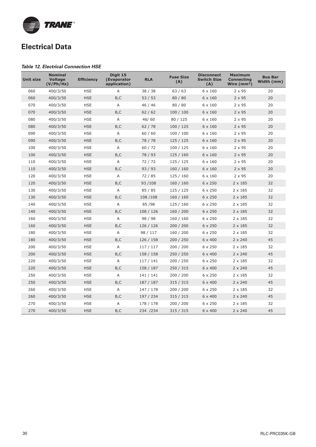

# **Electrical Data**

#### **Table 12. Electrical Connection HSE**

| <b>Unit size</b> | <b>Nominal</b><br><b>Voltage</b><br>(V/Ph/Hz) | <b>Efficiency</b> | Digit 15<br>(Evaporator<br>application) | <b>RLA</b> | <b>Fuse Size</b><br>(A) | <b>Disconnect</b><br><b>Switch Size</b><br>(A) | <b>Maximum</b><br><b>Connecting</b><br>Wire $(mm2)$ | Bus Bar<br>Width (mm) |
|------------------|-----------------------------------------------|-------------------|-----------------------------------------|------------|-------------------------|------------------------------------------------|-----------------------------------------------------|-----------------------|
| 060              | 400/3/50                                      | <b>HSE</b>        | Α                                       | 38 / 38    | 63/63                   | 6 x 160                                        | $2 \times 95$                                       | 20                    |
| 060              | 400/3/50                                      | <b>HSE</b>        | B,C                                     | 53/53      | 80 / 80                 | $6 \times 160$                                 | $2 \times 95$                                       | 20                    |
| 070              | 400/3/50                                      | <b>HSE</b>        | Α                                       | 46 / 46    | 80 / 80                 | $6 \times 160$                                 | 2 x 95                                              | 20                    |
| 070              | 400/3/50                                      | <b>HSE</b>        | B, C                                    | 62/62      | 100/100                 | $6 \times 160$                                 | $2 \times 95$                                       | 20                    |
| 080              | 400/3/50                                      | <b>HSE</b>        | A                                       | 46/60      | 80 / 125                | $6 \times 160$                                 | $2 \times 95$                                       | 20                    |
| 080              | 400/3/50                                      | <b>HSE</b>        | B, C                                    | 62/78      | 100/125                 | $6 \times 160$                                 | 2 x 95                                              | 20                    |
| 090              | 400/3/50                                      | <b>HSE</b>        | A                                       | 60/60      | 100/100                 | $6 \times 160$                                 | 2 x 95                                              | 20                    |
| 090              | 400/3/50                                      | <b>HSE</b>        | B, C                                    | 78 / 78    | 125 / 125               | $6 \times 160$                                 | $2 \times 95$                                       | 20                    |
| 100              | 400/3/50                                      | <b>HSE</b>        | A                                       | 60 / 72    | 100 / 125               | $6 \times 160$                                 | $2 \times 95$                                       | 20                    |
| 100              | 400/3/50                                      | <b>HSE</b>        | B,C                                     | 78 / 93    | 125/160                 | $6 \times 160$                                 | $2 \times 95$                                       | 20                    |
| 110              | 400/3/50                                      | <b>HSE</b>        | A                                       | 72 / 72    | 125 / 125               | $6 \times 160$                                 | 2 x 95                                              | 20                    |
| 110              | 400/3/50                                      | <b>HSE</b>        | B, C                                    | 93/93      | 160/160                 | $6 \times 160$                                 | $2 \times 95$                                       | 20                    |
| 120              | 400/3/50                                      | <b>HSE</b>        | A                                       | 72 / 85    | 125 / 160               | $6 \times 160$                                 | 2 x 95                                              | 20                    |
| 120              | 400/3/50                                      | <b>HSE</b>        | B, C                                    | 93/108     | 160 / 160               | $6 \times 250$                                 | $2 \times 185$                                      | 32                    |
| 130              | 400/3/50                                      | <b>HSE</b>        | A                                       | 85 / 85    | 125/125                 | $6 \times 250$                                 | $2 \times 185$                                      | 32                    |
| 130              | 400/3/50                                      | <b>HSE</b>        | B,C                                     | 108 / 108  | 160/160                 | $6 \times 250$                                 | $2 \times 185$                                      | 32                    |
| 140              | 400/3/50                                      | <b>HSE</b>        | Α                                       | 85 / 98    | 125 / 160               | $6 \times 250$                                 | $2 \times 185$                                      | 32                    |
| 140              | 400/3/50                                      | <b>HSE</b>        | B,C                                     | 108/126    | 160/200                 | $6 \times 250$                                 | $2 \times 185$                                      | 32                    |
| 160              | 400/3/50                                      | <b>HSE</b>        | A                                       | 98 / 98    | 160/160                 | $6 \times 250$                                 | $2 \times 185$                                      | 32                    |
| 160              | 400/3/50                                      | <b>HSE</b>        | B,C                                     | 126 / 126  | 200 / 200               | $6 \times 250$                                 | $2 \times 185$                                      | 32                    |
| 180              | 400/3/50                                      | <b>HSE</b>        | A                                       | 98 / 117   | 160 / 200               | $6 \times 250$                                 | $2 \times 185$                                      | 32                    |
| 180              | 400/3/50                                      | <b>HSE</b>        | B,C                                     | 126 / 158  | 200 / 250               | $6 \times 400$                                 | $2 \times 240$                                      | 45                    |
| 200              | 400/3/50                                      | <b>HSE</b>        | A                                       | 117/117    | 200 / 200               | $6 \times 250$                                 | $2 \times 185$                                      | 32                    |
| 200              | 400/3/50                                      | <b>HSE</b>        | B,C                                     | 158 / 158  | 250 / 250               | $6 \times 400$                                 | $2 \times 240$                                      | 45                    |
| 220              | 400/3/50                                      | <b>HSE</b>        | A                                       | 117/141    | 200 / 250               | $6 \times 250$                                 | $2 \times 185$                                      | 32                    |
| 220              | 400/3/50                                      | <b>HSE</b>        | B, C                                    | 158 / 187  | 250 / 315               | 6 x 400                                        | $2 \times 240$                                      | 45                    |
| 250              | 400/3/50                                      | <b>HSE</b>        | A                                       | 141 / 141  | 200 / 200               | $6 \times 250$                                 | $2 \times 185$                                      | 32                    |
| 250              | 400/3/50                                      | <b>HSE</b>        | B, C                                    | 187 / 187  | 315 / 315               | $6 \times 400$                                 | $2 \times 240$                                      | 45                    |
| 260              | 400/3/50                                      | <b>HSE</b>        | A                                       | 147 / 178  | 200 / 200               | $6 \times 250$                                 | $2 \times 185$                                      | 32                    |
| 260              | 400/3/50                                      | <b>HSE</b>        | B, C                                    | 197 / 234  | 315 / 315               | $6 \times 400$                                 | $2 \times 240$                                      | 45                    |
| 270              | 400/3/50                                      | <b>HSE</b>        | Α                                       | 178 / 178  | 200 / 200               | $6 \times 250$                                 | $2 \times 185$                                      | 32                    |
| 270              | 400/3/50                                      | <b>HSE</b>        | B,C                                     | 234 / 234  | 315 / 315               | $6 \times 400$                                 | $2 \times 240$                                      | 45                    |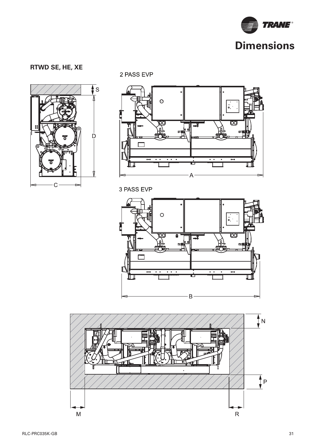

### **RTWD SE, HE, XE**



2 PASS EVP



3 PASS EVP



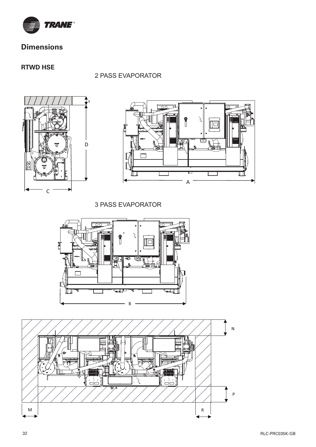

### **RTWD HSE**

2 PASS EVAPORATOR





3 PASS EVAPORATOR



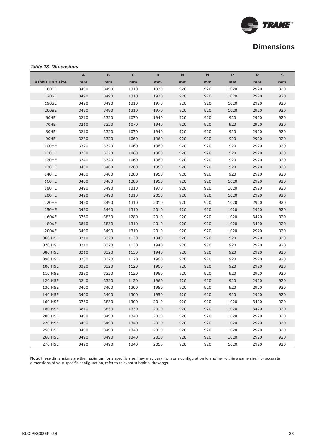

#### **Table 13. Dimensions**

|                       | A    | B    | C    | D    | M   | <b>N</b> | P    | R.   | S   |
|-----------------------|------|------|------|------|-----|----------|------|------|-----|
| <b>RTWD Unit size</b> | mm   | mm   | mm   | mm   | mm  | mm       | mm   | mm   | mm  |
| 160SE                 | 3490 | 3490 | 1310 | 1970 | 920 | 920      | 1020 | 2920 | 920 |
| 170SE                 | 3490 | 3490 | 1310 | 1970 | 920 | 920      | 1020 | 2920 | 920 |
| 190SE                 | 3490 | 3490 | 1310 | 1970 | 920 | 920      | 1020 | 2920 | 920 |
| 200SE                 | 3490 | 3490 | 1310 | 1970 | 920 | 920      | 1020 | 2920 | 920 |
| 60HE                  | 3210 | 3320 | 1070 | 1940 | 920 | 920      | 920  | 2920 | 920 |
| 70HE                  | 3210 | 3320 | 1070 | 1940 | 920 | 920      | 920  | 2920 | 920 |
| 80HE                  | 3210 | 3320 | 1070 | 1940 | 920 | 920      | 920  | 2920 | 920 |
| 90HE                  | 3230 | 3320 | 1060 | 1960 | 920 | 920      | 920  | 2920 | 920 |
| 100HE                 | 3320 | 3320 | 1060 | 1960 | 920 | 920      | 920  | 2920 | 920 |
| 110HE                 | 3230 | 3320 | 1060 | 1960 | 920 | 920      | 920  | 2920 | 920 |
| 120HE                 | 3240 | 3320 | 1060 | 1960 | 920 | 920      | 920  | 2920 | 920 |
| 130HE                 | 3400 | 3400 | 1280 | 1950 | 920 | 920      | 920  | 2920 | 920 |
| 140HE                 | 3400 | 3400 | 1280 | 1950 | 920 | 920      | 920  | 2920 | 920 |
| 160HE                 | 3400 | 3400 | 1280 | 1950 | 920 | 920      | 1020 | 2920 | 920 |
| 180HE                 | 3490 | 3490 | 1310 | 1970 | 920 | 920      | 1020 | 2920 | 920 |
| 200HE                 | 3490 | 3490 | 1310 | 2010 | 920 | 920      | 1020 | 2920 | 920 |
| 220HE                 | 3490 | 3490 | 1310 | 2010 | 920 | 920      | 1020 | 2920 | 920 |
| 250HE                 | 3490 | 3490 | 1310 | 2010 | 920 | 920      | 1020 | 2920 | 920 |
| 160XE                 | 3760 | 3830 | 1280 | 2010 | 920 | 920      | 1020 | 3420 | 920 |
| 180XE                 | 3810 | 3830 | 1310 | 2010 | 920 | 920      | 1020 | 3420 | 920 |
| 200XE                 | 3490 | 3490 | 1310 | 2010 | 920 | 920      | 1020 | 2920 | 920 |
| 060 HSE               | 3210 | 3320 | 1130 | 1940 | 920 | 920      | 920  | 2920 | 920 |
| 070 HSE               | 3210 | 3320 | 1130 | 1940 | 920 | 920      | 920  | 2920 | 920 |
| 080 HSE               | 3210 | 3320 | 1130 | 1940 | 920 | 920      | 920  | 2920 | 920 |
| 090 HSE               | 3230 | 3320 | 1120 | 1960 | 920 | 920      | 920  | 2920 | 920 |
| <b>100 HSE</b>        | 3320 | 3320 | 1120 | 1960 | 920 | 920      | 920  | 2920 | 920 |
| <b>110 HSE</b>        | 3230 | 3320 | 1120 | 1960 | 920 | 920      | 920  | 2920 | 920 |
| <b>120 HSE</b>        | 3240 | 3320 | 1120 | 1960 | 920 | 920      | 920  | 2920 | 920 |
| 130 HSE               | 3400 | 3400 | 1300 | 1950 | 920 | 920      | 920  | 2920 | 920 |
| <b>140 HSE</b>        | 3400 | 3400 | 1300 | 1950 | 920 | 920      | 920  | 2920 | 920 |
| <b>160 HSE</b>        | 3760 | 3830 | 1300 | 2010 | 920 | 920      | 1020 | 3420 | 920 |
| <b>180 HSE</b>        | 3810 | 3830 | 1330 | 2010 | 920 | 920      | 1020 | 3420 | 920 |
| <b>200 HSE</b>        | 3490 | 3490 | 1340 | 2010 | 920 | 920      | 1020 | 2920 | 920 |
| <b>220 HSE</b>        | 3490 | 3490 | 1340 | 2010 | 920 | 920      | 1020 | 2920 | 920 |
| <b>250 HSE</b>        | 3490 | 3490 | 1340 | 2010 | 920 | 920      | 1020 | 2920 | 920 |
| <b>260 HSE</b>        | 3490 | 3490 | 1340 | 2010 | 920 | 920      | 1020 | 2920 | 920 |
| 270 HSE               | 3490 | 3490 | 1340 | 2010 | 920 | 920      | 1020 | 2920 | 920 |

Note: These dimensions are the maximum for a specific size, they may vary from one configuration to another within a same size. For accurate dimensions of your specific configuration, refer to relevant submittal drawings.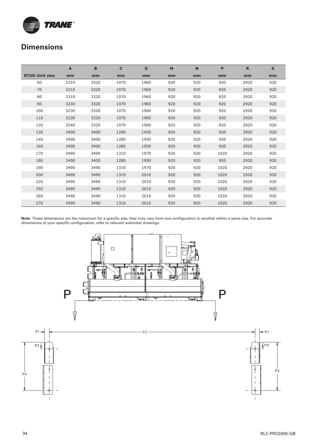

|                       | A    | B    | $\mathbf{C}$ | D    | M   | $\mathbf N$ | P    | $\mathbf R$ | $\mathbf{s}$ |
|-----------------------|------|------|--------------|------|-----|-------------|------|-------------|--------------|
| <b>RTUD Unit size</b> | mm   | mm   | mm           | mm   | mm  | mm          | mm   | mm          | mm           |
| 60                    | 3310 | 3320 | 1070         | 1960 | 920 | 920         | 920  | 2920        | 920          |
| 70                    | 3310 | 3320 | 1070         | 1960 | 920 | 920         | 920  | 2920        | 920          |
| 80                    | 3310 | 3320 | 1070         | 1960 | 920 | 920         | 920  | 2920        | 920          |
| 90                    | 3230 | 3320 | 1070         | 1960 | 920 | 920         | 920  | 2920        | 920          |
| 100                   | 3230 | 3320 | 1070         | 1960 | 920 | 920         | 920  | 2920        | 920          |
| 110                   | 3230 | 3320 | 1070         | 1960 | 920 | 920         | 920  | 2920        | 920          |
| 120                   | 3240 | 3320 | 1070         | 1960 | 920 | 920         | 920  | 2920        | 920          |
| 130                   | 3400 | 3400 | 1280         | 1950 | 920 | 920         | 920  | 2920        | 920          |
| 140                   | 3400 | 3400 | 1280         | 1950 | 920 | 920         | 920  | 2920        | 920          |
| 160                   | 3400 | 3400 | 1280         | 1950 | 920 | 920         | 920  | 2920        | 920          |
| 170                   | 3490 | 3490 | 1310         | 1970 | 920 | 920         | 1020 | 2920        | 920          |
| 180                   | 3400 | 3400 | 1280         | 1950 | 920 | 920         | 920  | 2920        | 920          |
| 190                   | 3490 | 3490 | 1310         | 1970 | 920 | 920         | 1020 | 2920        | 920          |
| 200                   | 3490 | 3490 | 1310         | 2010 | 920 | 920         | 1020 | 2920        | 920          |
| 220                   | 3490 | 3490 | 1310         | 2010 | 920 | 920         | 1020 | 2920        | 920          |
| 250                   | 3490 | 3490 | 1310         | 2010 | 920 | 920         | 1020 | 2920        | 920          |
| 260                   | 3490 | 3490 | 1310         | 2010 | 920 | 920         | 1020 | 2920        | 920          |
| 270                   | 3490 | 3490 | 1310         | 2010 | 920 | 920         | 1020 | 2920        | 920          |

Note: These dimensions are the maximum for a specific size, they may vary from one configuration to another within a same size. For accurate dimensions of your specific configuration, refer to relevant submittal drawings.

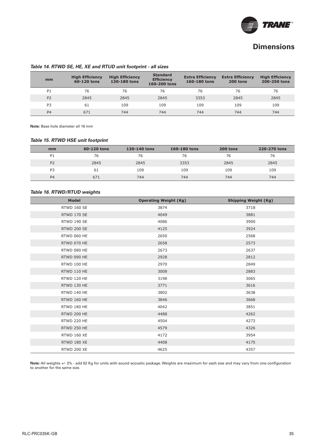

#### **Table 14. RTWD SE, HE, XE and RTUD unit footprint - all sizes**

| mm             | <b>High Efficiency</b><br>60-120 tons | <b>High Efficiency</b><br>130-180 tons | <b>Standard</b><br><b>Efficiency</b><br>160-200 tons | <b>Extra Efficiency</b><br>160-180 tons | <b>Extra Efficiency</b><br>200 tons | <b>High Efficiency</b><br>200-250 tons |
|----------------|---------------------------------------|----------------------------------------|------------------------------------------------------|-----------------------------------------|-------------------------------------|----------------------------------------|
| P <sub>1</sub> | 76                                    | 76                                     | 76                                                   | 76                                      | 76                                  | 76                                     |
| P <sub>2</sub> | 2845                                  | 2845                                   | 2845                                                 | 3353                                    | 2845                                | 2845                                   |
| P <sub>3</sub> | 61                                    | 109                                    | 109                                                  | 109                                     | 109                                 | 109                                    |
| P <sub>4</sub> | 671                                   | 744                                    | 744                                                  | 744                                     | 744                                 | 744                                    |

**Note:** Base hole diameter all 16 mm

#### **Table 15. RTWD HSE unit footprint**

| mm             | 60-120 tons | 130-140 tons | 160-180 tons | 200 tons | 220-270 tons |
|----------------|-------------|--------------|--------------|----------|--------------|
| P1             | 76          | 76           | 76           | 76       | 76           |
| P <sub>2</sub> | 2845        | 2845         | 3353         | 2845     | 2845         |
| P <sub>3</sub> | -61         | 109          | 109          | 109      | 109          |
| P <sub>4</sub> | 671         | 744          | 744          | 744      | 744          |

#### **Table 16. RTWD/RTUD weights**

| <b>Model</b>       | <b>Operating Weight (Kg)</b> | <b>Shipping Weight (Kg)</b> |
|--------------------|------------------------------|-----------------------------|
| RTWD 160 SE        | 3874                         | 3718                        |
| <b>RTWD 170 SE</b> | 4049                         | 3881                        |
| RTWD 190 SE        | 4086                         | 3900                        |
| <b>RTWD 200 SE</b> | 4125                         | 3924                        |
| RTWD 060 HE        | 2650                         | 2568                        |
| RTWD 070 HE        | 2658                         | 2573                        |
| RTWD 080 HE        | 2673                         | 2637                        |
| RTWD 090 HE        | 2928                         | 2812                        |
| RTWD 100 HE        | 2970                         | 2849                        |
| RTWD 110 HE        | 3008                         | 2883                        |
| RTWD 120 HE        | 3198                         | 3065                        |
| RTWD 130 HE        | 3771                         | 3616                        |
| RTWD 140 HE        | 3802                         | 3638                        |
| RTWD 160 HE        | 3846                         | 3668                        |
| RTWD 180 HE        | 4042                         | 3851                        |
| RTWD 200 HE        | 4488                         | 4262                        |
| RTWD 220 HE        | 4504                         | 4273                        |
| RTWD 250 HE        | 4579                         | 4326                        |
| RTWD 160 XE        | 4172                         | 3954                        |
| RTWD 180 XE        | 4408                         | 4175                        |
| RTWD 200 XE        | 4625                         | 4357                        |

Note: All weights +/- 3% - add 62 Kg for units with sound acoustic package. Weights are maximum for each size and may vary from one configuration to another for the same size.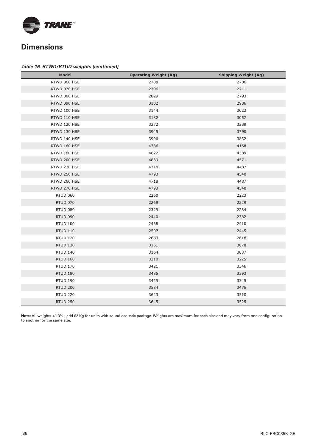

#### **Table 16. RTWD/RTUD weights (continued)**

| <b>Model</b>    | <b>Operating Weight (Kg)</b> | <b>Shipping Weight (Kg)</b> |
|-----------------|------------------------------|-----------------------------|
| RTWD 060 HSE    | 2788                         | 2706                        |
| RTWD 070 HSE    | 2796                         | 2711                        |
| RTWD 080 HSE    | 2829                         | 2793                        |
| RTWD 090 HSE    | 3102                         | 2986                        |
| RTWD 100 HSE    | 3144                         | 3023                        |
| RTWD 110 HSE    | 3182                         | 3057                        |
| RTWD 120 HSE    | 3372                         | 3239                        |
| RTWD 130 HSE    | 3945                         | 3790                        |
| RTWD 140 HSE    | 3996                         | 3832                        |
| RTWD 160 HSE    | 4386                         | 4168                        |
| RTWD 180 HSE    | 4622                         | 4389                        |
| RTWD 200 HSE    | 4839                         | 4571                        |
| RTWD 220 HSE    | 4718                         | 4487                        |
| RTWD 250 HSE    | 4793                         | 4540                        |
| RTWD 260 HSE    | 4718                         | 4487                        |
| RTWD 270 HSE    | 4793                         | 4540                        |
| <b>RTUD 060</b> | 2260                         | 2223                        |
| <b>RTUD 070</b> | 2269                         | 2229                        |
| <b>RTUD 080</b> | 2329                         | 2284                        |
| <b>RTUD 090</b> | 2440                         | 2382                        |
| <b>RTUD 100</b> | 2468                         | 2410                        |
| <b>RTUD 110</b> | 2507                         | 2445                        |
| <b>RTUD 120</b> | 2683                         | 2618                        |
| <b>RTUD 130</b> | 3151                         | 3078                        |
| <b>RTUD 140</b> | 3164                         | 3087                        |
| <b>RTUD 160</b> | 3310                         | 3225                        |
| <b>RTUD 170</b> | 3421                         | 3346                        |
| <b>RTUD 180</b> | 3485                         | 3393                        |
| <b>RTUD 190</b> | 3429                         | 3345                        |
| <b>RTUD 200</b> | 3584                         | 3476                        |
| <b>RTUD 220</b> | 3623                         | 3510                        |
| <b>RTUD 250</b> | 3645                         | 3525                        |

Note: All weights +/- 3% - add 62 Kg for units with sound acoustic package. Weights are maximum for each size and may vary from one configuration to another for the same size.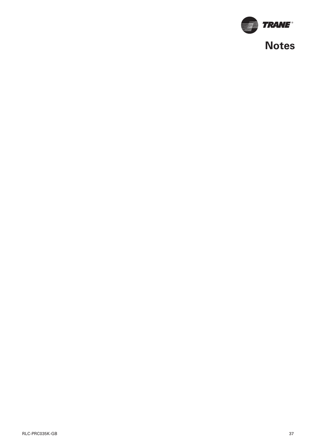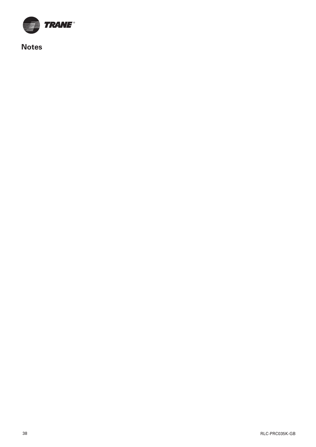

**Notes**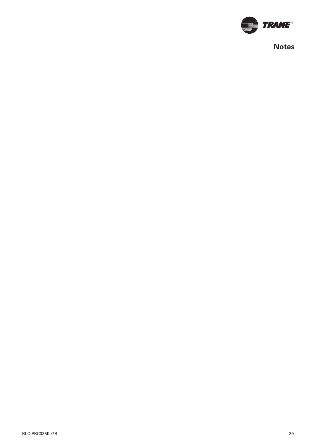

**Notes**